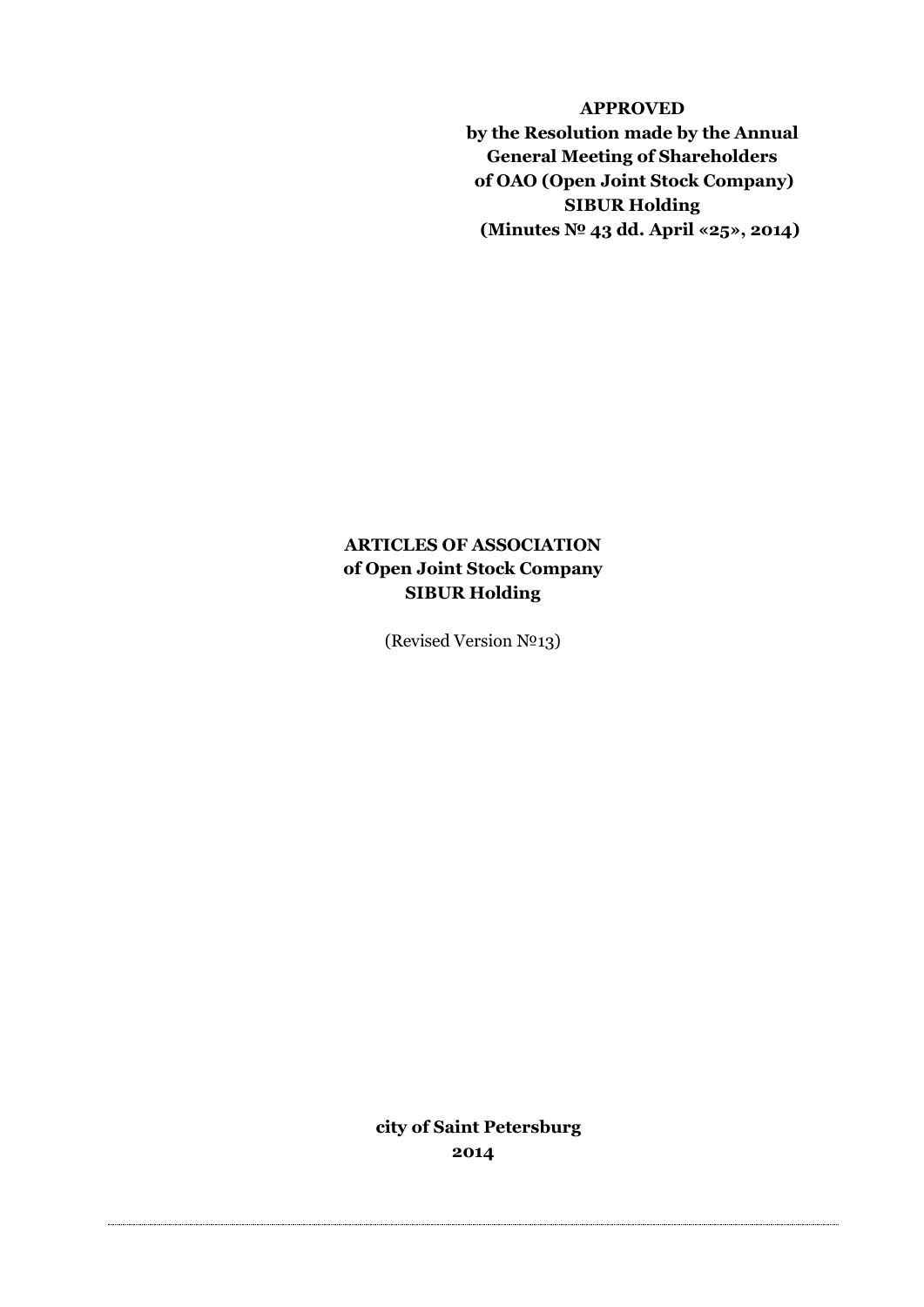**APPROVED by the Resolution made by the Annual General Meeting of Shareholders of OAO (Open Joint Stock Company) SIBUR Holding (Minutes № 43 dd. April «25», 2014)**

# **ARTICLES OF ASSOCIATION of Open Joint Stock Company SIBUR Holding**

(Revised Version №13)

**city of Saint Petersburg 2014**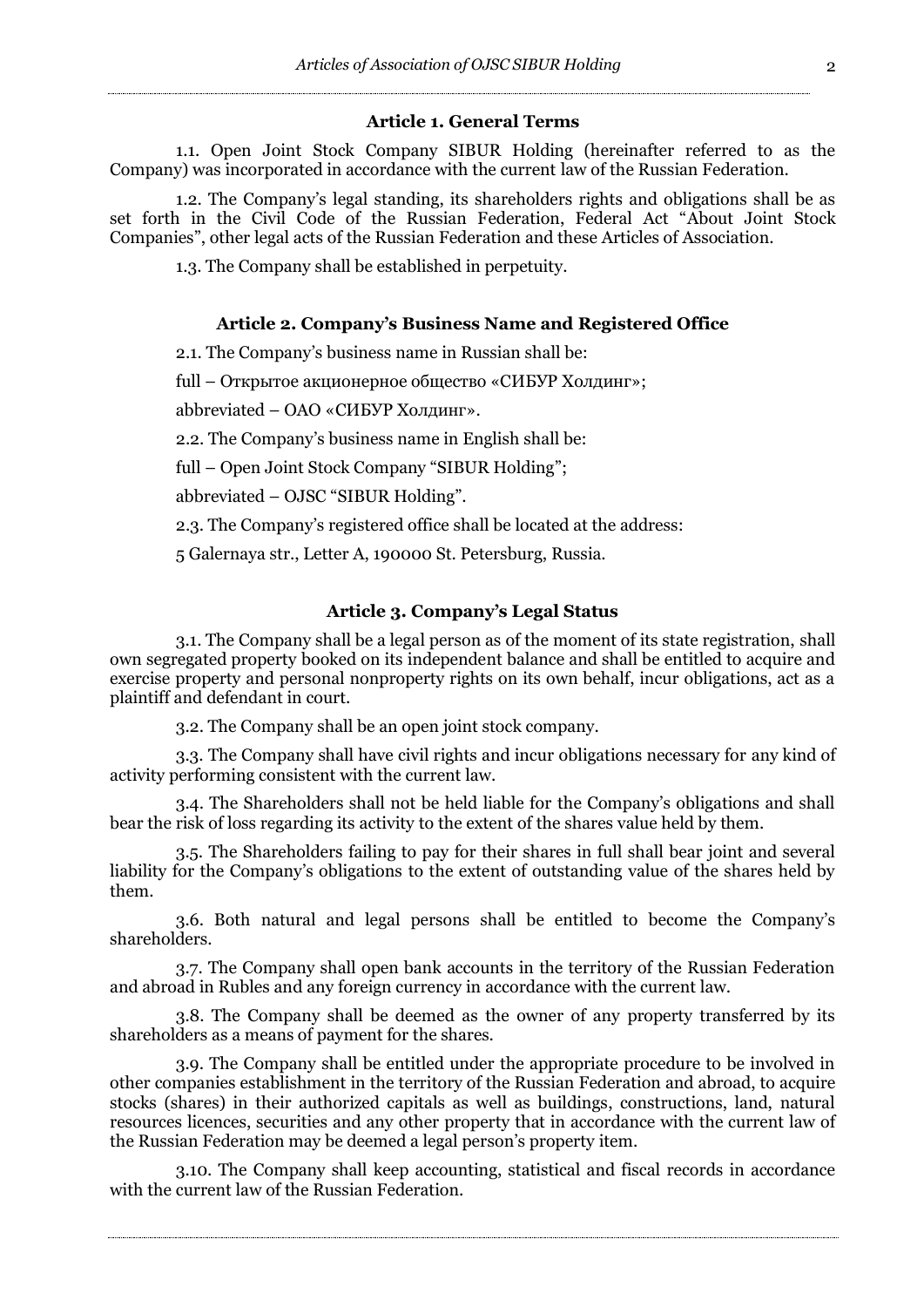#### **Article 1. General Terms**

1.1. Open Joint Stock Company SIBUR Holding (hereinafter referred to as the Company) was incorporated in accordance with the current law of the Russian Federation.

1.2. The Company's legal standing, its shareholders rights and obligations shall be as set forth in the Civil Code of the Russian Federation, Federal Act "About Joint Stock Companies", other legal acts of the Russian Federation and these Articles of Association.

1.3. The Company shall be established in perpetuity.

## **Article 2. Company's Business Name and Registered Office**

2.1. The Company's business name in Russian shall be:

full – Открытое акционерное общество «СИБУР Холдинг»;

abbreviated – ОАО «СИБУР Холдинг».

2.2. The Company's business name in English shall be:

full – Open Joint Stock Company "SIBUR Holding";

abbreviated – OJSC "SIBUR Holding".

2.3. The Company's registered office shall be located at the address:

5 Galernaya str., Letter A, 190000 St. Petersburg, Russia.

## **Article 3. Company's Legal Status**

3.1. The Company shall be a legal person as of the moment of its state registration, shall own segregated property booked on its independent balance and shall be entitled to acquire and exercise property and personal nonproperty rights on its own behalf, incur obligations, act as a plaintiff and defendant in court.

3.2. The Company shall be an open joint stock company.

3.3. The Company shall have civil rights and incur obligations necessary for any kind of activity performing consistent with the current law.

3.4. The Shareholders shall not be held liable for the Company's obligations and shall bear the risk of loss regarding its activity to the extent of the shares value held by them.

3.5. The Shareholders failing to pay for their shares in full shall bear joint and several liability for the Company's obligations to the extent of outstanding value of the shares held by them.

3.6. Both natural and legal persons shall be entitled to become the Company's shareholders.

3.7. The Company shall open bank accounts in the territory of the Russian Federation and abroad in Rubles and any foreign currency in accordance with the current law.

3.8. The Company shall be deemed as the owner of any property transferred by its shareholders as a means of payment for the shares.

3.9. The Company shall be entitled under the appropriate procedure to be involved in other companies establishment in the territory of the Russian Federation and abroad, to acquire stocks (shares) in their authorized capitals as well as buildings, constructions, land, natural resources licences, securities and any other property that in accordance with the current law of the Russian Federation may be deemed a legal person's property item.

3.10. The Company shall keep accounting, statistical and fiscal records in accordance with the current law of the Russian Federation.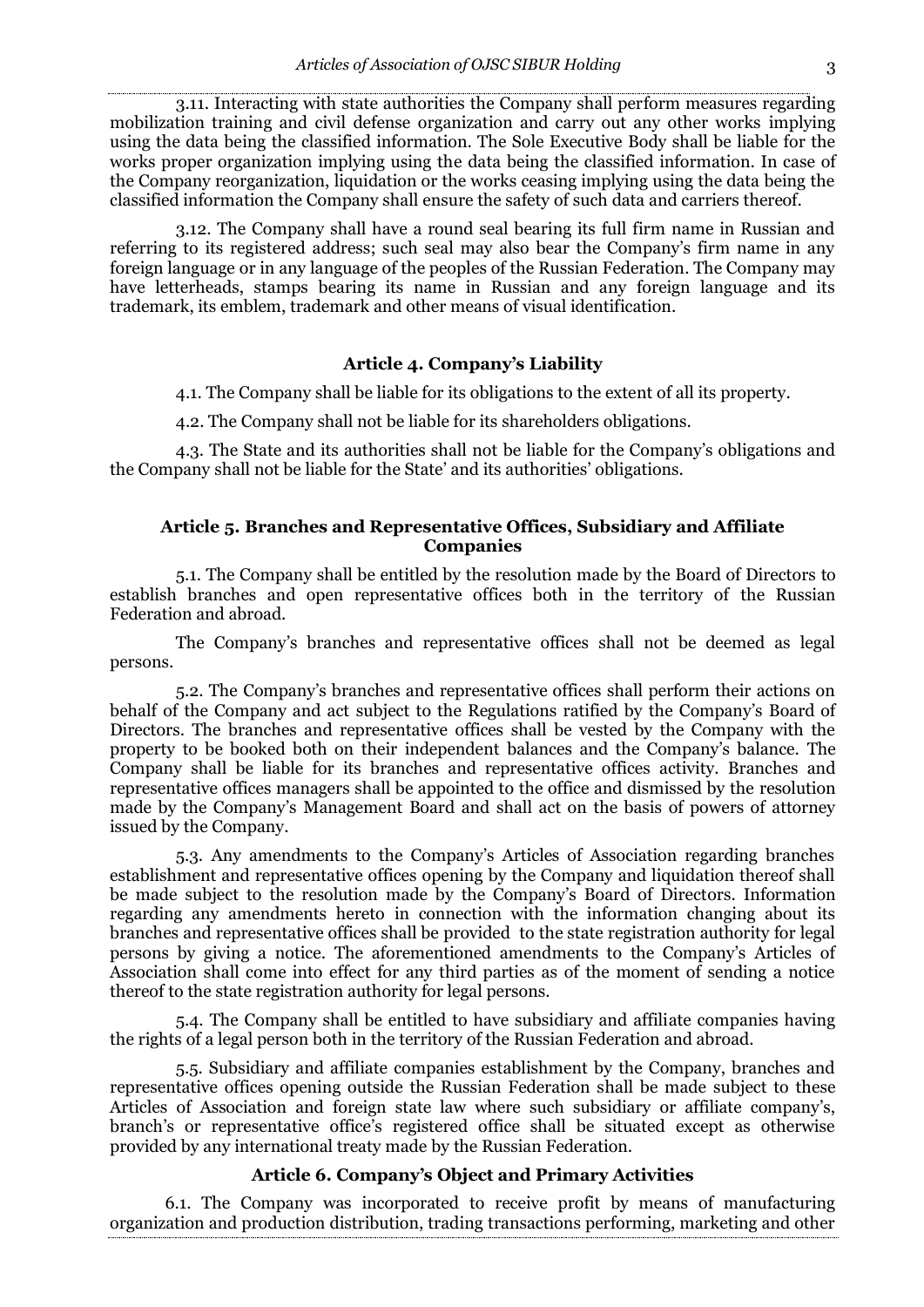3.11. Interacting with state authorities the Company shall perform measures regarding mobilization training and civil defense organization and carry out any other works implying using the data being the classified information. The Sole Executive Body shall be liable for the works proper organization implying using the data being the classified information. In case of the Company reorganization, liquidation or the works ceasing implying using the data being the classified information the Company shall ensure the safety of such data and carriers thereof.

3.12. The Company shall have a round seal bearing its full firm name in Russian and referring to its registered address; such seal may also bear the Company's firm name in any foreign language or in any language of the peoples of the Russian Federation. The Company may have letterheads, stamps bearing its name in Russian and any foreign language and its trademark, its emblem, trademark and other means of visual identification.

## **Article 4. Company's Liability**

4.1. The Company shall be liable for its obligations to the extent of all its property.

4.2. The Company shall not be liable for its shareholders obligations.

4.3. The State and its authorities shall not be liable for the Company's obligations and the Company shall not be liable for the State' and its authorities' obligations.

## **Article 5. Branches and Representative Offices, Subsidiary and Affiliate Companies**

5.1. The Company shall be entitled by the resolution made by the Board of Directors to establish branches and open representative offices both in the territory of the Russian Federation and abroad.

The Company's branches and representative offices shall not be deemed as legal persons.

5.2. The Company's branches and representative offices shall perform their actions on behalf of the Company and act subject to the Regulations ratified by the Company's Board of Directors. The branches and representative offices shall be vested by the Company with the property to be booked both on their independent balances and the Company's balance. The Company shall be liable for its branches and representative offices activity. Branches and representative offices managers shall be appointed to the office and dismissed by the resolution made by the Company's Management Board and shall act on the basis of powers of attorney issued by the Company.

5.3. Any amendments to the Company's Articles of Association regarding branches establishment and representative offices opening by the Company and liquidation thereof shall be made subject to the resolution made by the Company's Board of Directors. Information regarding any amendments hereto in connection with the information changing about its branches and representative offices shall be provided to the state registration authority for legal persons by giving a notice. The aforementioned amendments to the Company's Articles of Association shall come into effect for any third parties as of the moment of sending a notice thereof to the state registration authority for legal persons.

5.4. The Company shall be entitled to have subsidiary and affiliate companies having the rights of a legal person both in the territory of the Russian Federation and abroad.

5.5. Subsidiary and affiliate companies establishment by the Company, branches and representative offices opening outside the Russian Federation shall be made subject to these Articles of Association and foreign state law where such subsidiary or affiliate company's, branch's or representative office's registered office shall be situated except as otherwise provided by any international treaty made by the Russian Federation.

## **Article 6. Company's Object and Primary Activities**

6.1. The Company was incorporated to receive profit by means of manufacturing organization and production distribution, trading transactions performing, marketing and other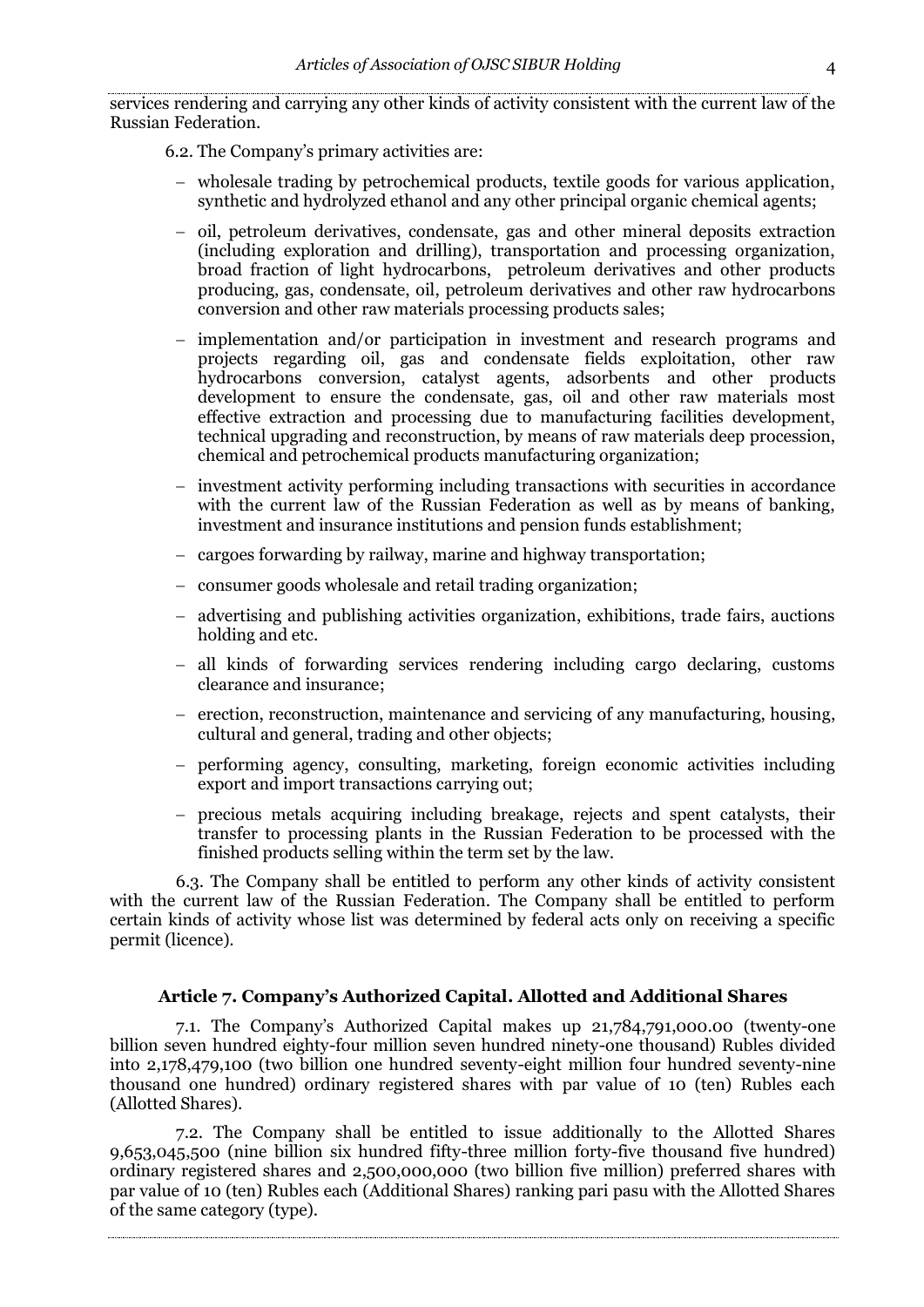services rendering and carrying any other kinds of activity consistent with the current law of the Russian Federation.

6.2. The Company's primary activities are:

- wholesale trading by petrochemical products, textile goods for various application, synthetic and hydrolyzed ethanol and any other principal organic chemical agents;
- oil, petroleum derivatives, condensate, gas and other mineral deposits extraction (including exploration and drilling), transportation and processing organization, broad fraction of light hydrocarbons, petroleum derivatives and other products producing, gas, condensate, oil, petroleum derivatives and other raw hydrocarbons conversion and other raw materials processing products sales;
- implementation and/or participation in investment and research programs and projects regarding oil, gas and condensate fields exploitation, other raw hydrocarbons conversion, catalyst agents, adsorbents and other products development to ensure the condensate, gas, oil and other raw materials most effective extraction and processing due to manufacturing facilities development, technical upgrading and reconstruction, by means of raw materials deep procession, chemical and petrochemical products manufacturing organization;
- $\overline{\phantom{a}}$  investment activity performing including transactions with securities in accordance with the current law of the Russian Federation as well as by means of banking, investment and insurance institutions and pension funds establishment;
- cargoes forwarding by railway, marine and highway transportation;
- consumer goods wholesale and retail trading organization;
- advertising and publishing activities organization, exhibitions, trade fairs, auctions holding and etc.
- all kinds of forwarding services rendering including cargo declaring, customs clearance and insurance;
- erection, reconstruction, maintenance and servicing of any manufacturing, housing, cultural and general, trading and other objects;
- performing agency, consulting, marketing, foreign economic activities including export and import transactions carrying out;
- precious metals acquiring including breakage, rejects and spent catalysts, their transfer to processing plants in the Russian Federation to be processed with the finished products selling within the term set by the law.

6.3. The Company shall be entitled to perform any other kinds of activity consistent with the current law of the Russian Federation. The Company shall be entitled to perform certain kinds of activity whose list was determined by federal acts only on receiving a specific permit (licence).

# **Article 7. Company's Authorized Capital. Allotted and Additional Shares**

7.1. The Company's Authorized Capital makes up 21,784,791,000.00 (twenty-one billion seven hundred eighty-four million seven hundred ninety-one thousand) Rubles divided into 2,178,479,100 (two billion one hundred seventy-eight million four hundred seventy-nine thousand one hundred) ordinary registered shares with par value of 10 (ten) Rubles each (Allotted Shares).

7.2. The Company shall be entitled to issue additionally to the Allotted Shares 9,653,045,500 (nine billion six hundred fifty-three million forty-five thousand five hundred) ordinary registered shares and 2,500,000,000 (two billion five million) preferred shares with par value of 10 (ten) Rubles each (Additional Shares) ranking pari pasu with the Allotted Shares of the same category (type).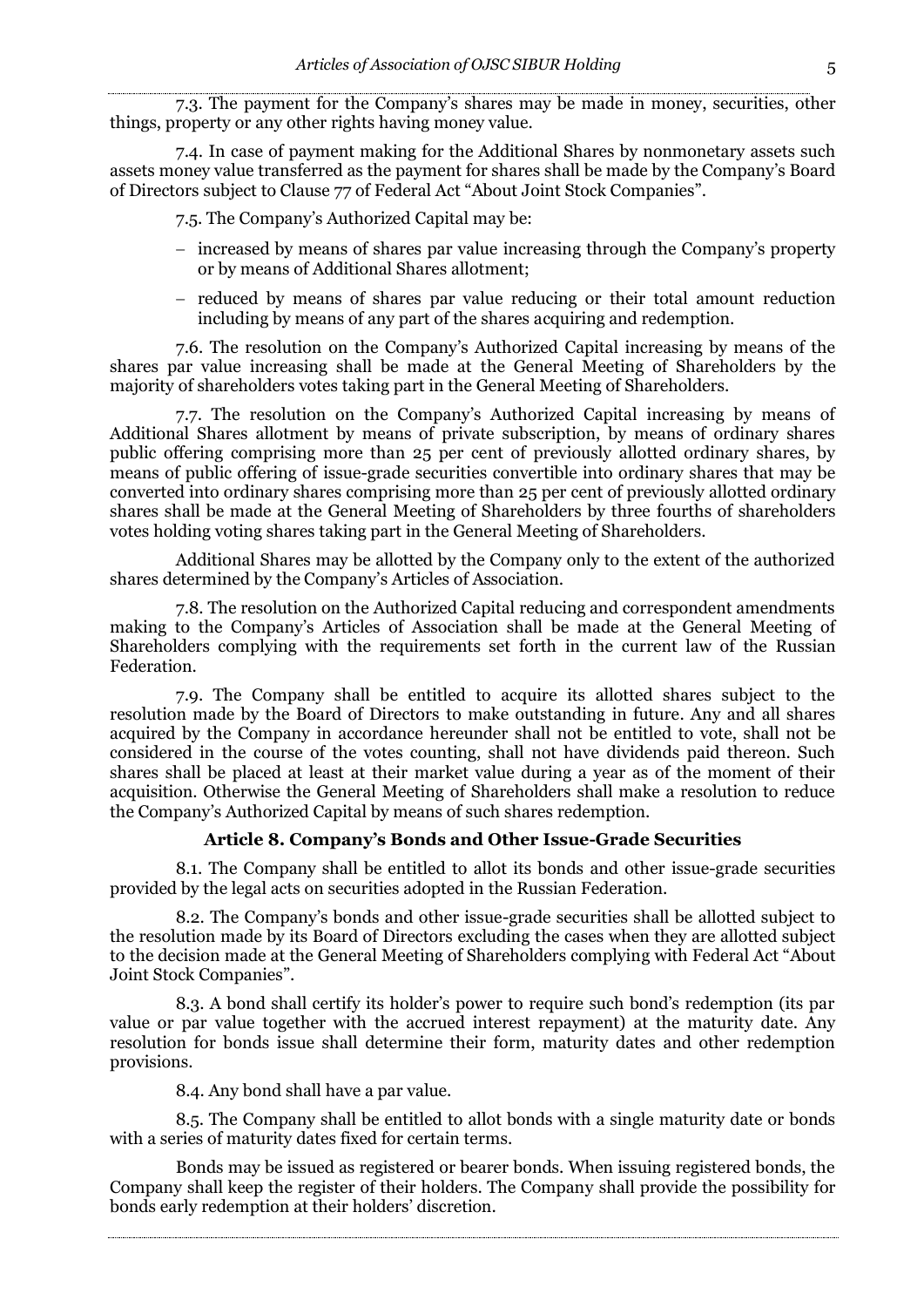7.3. The payment for the Company's shares may be made in money, securities, other things, property or any other rights having money value.

7.4. In case of payment making for the Additional Shares by nonmonetary assets such assets money value transferred as the payment for shares shall be made by the Company's Board of Directors subject to Clause 77 of Federal Act "About Joint Stock Companies".

7.5. The Company's Authorized Capital may be:

- increased by means of shares par value increasing through the Company's property or by means of Additional Shares allotment;
- reduced by means of shares par value reducing or their total amount reduction including by means of any part of the shares acquiring and redemption.

7.6. The resolution on the Company's Authorized Capital increasing by means of the shares par value increasing shall be made at the General Meeting of Shareholders by the majority of shareholders votes taking part in the General Meeting of Shareholders.

7.7. The resolution on the Company's Authorized Capital increasing by means of Additional Shares allotment by means of private subscription, by means of ordinary shares public offering comprising more than 25 per cent of previously allotted ordinary shares, by means of public offering of issue-grade securities convertible into ordinary shares that may be converted into ordinary shares comprising more than 25 per cent of previously allotted ordinary shares shall be made at the General Meeting of Shareholders by three fourths of shareholders votes holding voting shares taking part in the General Meeting of Shareholders.

Additional Shares may be allotted by the Company only to the extent of the authorized shares determined by the Company's Articles of Association.

7.8. The resolution on the Authorized Capital reducing and correspondent amendments making to the Company's Articles of Association shall be made at the General Meeting of Shareholders complying with the requirements set forth in the current law of the Russian Federation.

7.9. The Company shall be entitled to acquire its allotted shares subject to the resolution made by the Board of Directors to make outstanding in future. Any and all shares acquired by the Company in accordance hereunder shall not be entitled to vote, shall not be considered in the course of the votes counting, shall not have dividends paid thereon. Such shares shall be placed at least at their market value during a year as of the moment of their acquisition. Otherwise the General Meeting of Shareholders shall make a resolution to reduce the Company's Authorized Capital by means of such shares redemption.

#### **Article 8. Company's Bonds and Other Issue-Grade Securities**

8.1. The Company shall be entitled to allot its bonds and other issue-grade securities provided by the legal acts on securities adopted in the Russian Federation.

8.2. The Company's bonds and other issue-grade securities shall be allotted subject to the resolution made by its Board of Directors excluding the cases when they are allotted subject to the decision made at the General Meeting of Shareholders complying with Federal Act "About Joint Stock Companies".

8.3. A bond shall certify its holder's power to require such bond's redemption (its par value or par value together with the accrued interest repayment) at the maturity date. Any resolution for bonds issue shall determine their form, maturity dates and other redemption provisions.

8.4. Any bond shall have a par value.

8.5. The Company shall be entitled to allot bonds with a single maturity date or bonds with a series of maturity dates fixed for certain terms.

Bonds may be issued as registered or bearer bonds. When issuing registered bonds, the Company shall keep the register of their holders. The Company shall provide the possibility for bonds early redemption at their holders' discretion.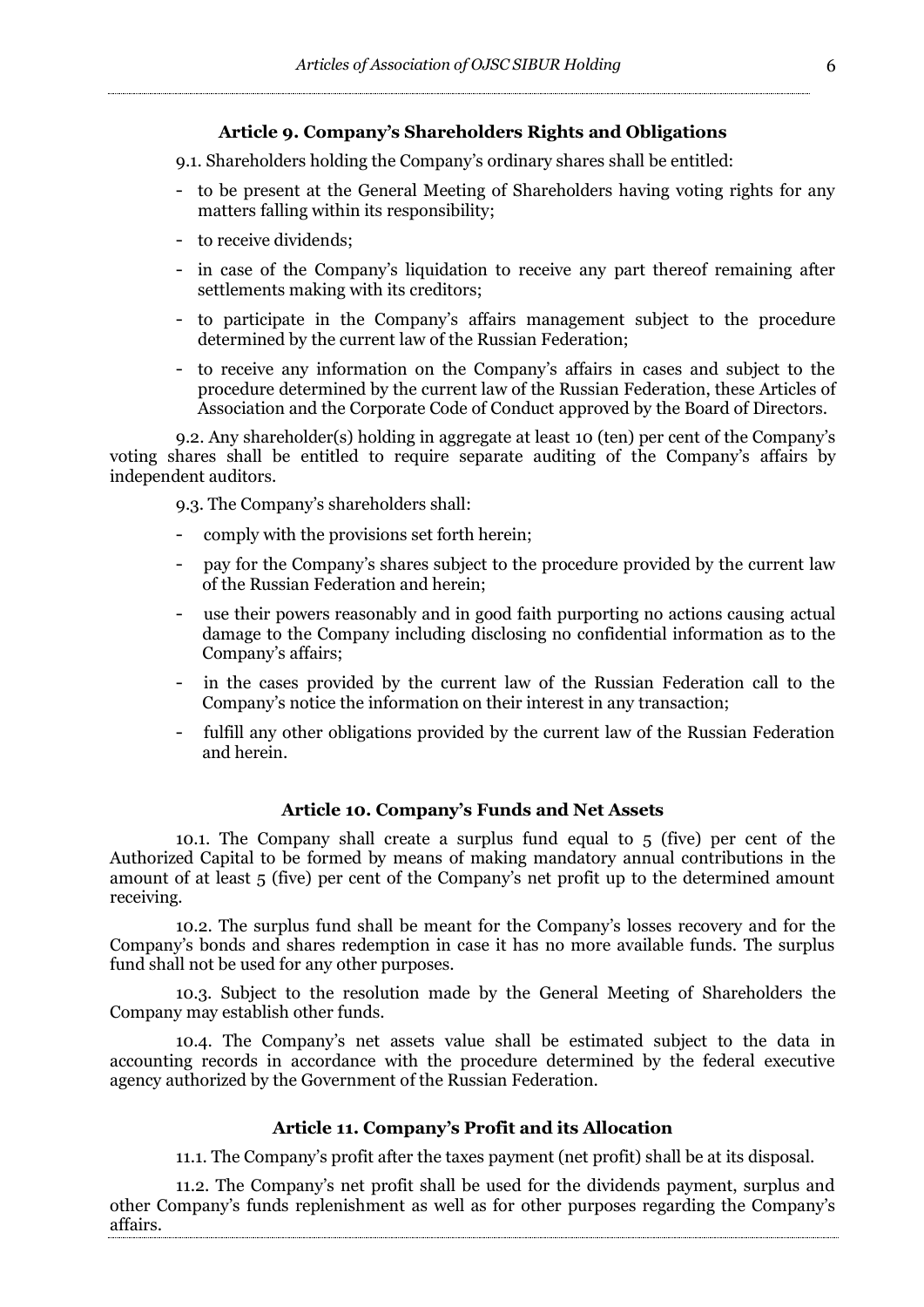#### **Article 9. Company's Shareholders Rights and Obligations**

9.1. Shareholders holding the Company's ordinary shares shall be entitled:

- to be present at the General Meeting of Shareholders having voting rights for any matters falling within its responsibility;
- to receive dividends;
- in case of the Company's liquidation to receive any part thereof remaining after settlements making with its creditors;
- to participate in the Company's affairs management subject to the procedure determined by the current law of the Russian Federation;
- to receive any information on the Company's affairs in cases and subject to the procedure determined by the current law of the Russian Federation, these Articles of Association and the Corporate Code of Conduct approved by the Board of Directors.

9.2. Any shareholder(s) holding in aggregate at least 10 (ten) per cent of the Company's voting shares shall be entitled to require separate auditing of the Company's affairs by independent auditors.

9.3. The Company's shareholders shall:

- comply with the provisions set forth herein;
- pay for the Company's shares subject to the procedure provided by the current law of the Russian Federation and herein;
- use their powers reasonably and in good faith purporting no actions causing actual damage to the Company including disclosing no confidential information as to the Company's affairs;
- in the cases provided by the current law of the Russian Federation call to the Company's notice the information on their interest in any transaction;
- fulfill any other obligations provided by the current law of the Russian Federation and herein.

#### **Article 10. Company's Funds and Net Assets**

10.1. The Company shall create a surplus fund equal to 5 (five) per cent of the Authorized Capital to be formed by means of making mandatory annual contributions in the amount of at least 5 (five) per cent of the Company's net profit up to the determined amount receiving.

10.2. The surplus fund shall be meant for the Company's losses recovery and for the Company's bonds and shares redemption in case it has no more available funds. The surplus fund shall not be used for any other purposes.

10.3. Subject to the resolution made by the General Meeting of Shareholders the Company may establish other funds.

10.4. The Company's net assets value shall be estimated subject to the data in accounting records in accordance with the procedure determined by the federal executive agency authorized by the Government of the Russian Federation.

## **Article 11. Company's Profit and its Allocation**

11.1. The Company's profit after the taxes payment (net profit) shall be at its disposal.

11.2. The Company's net profit shall be used for the dividends payment, surplus and other Company's funds replenishment as well as for other purposes regarding the Company's affairs.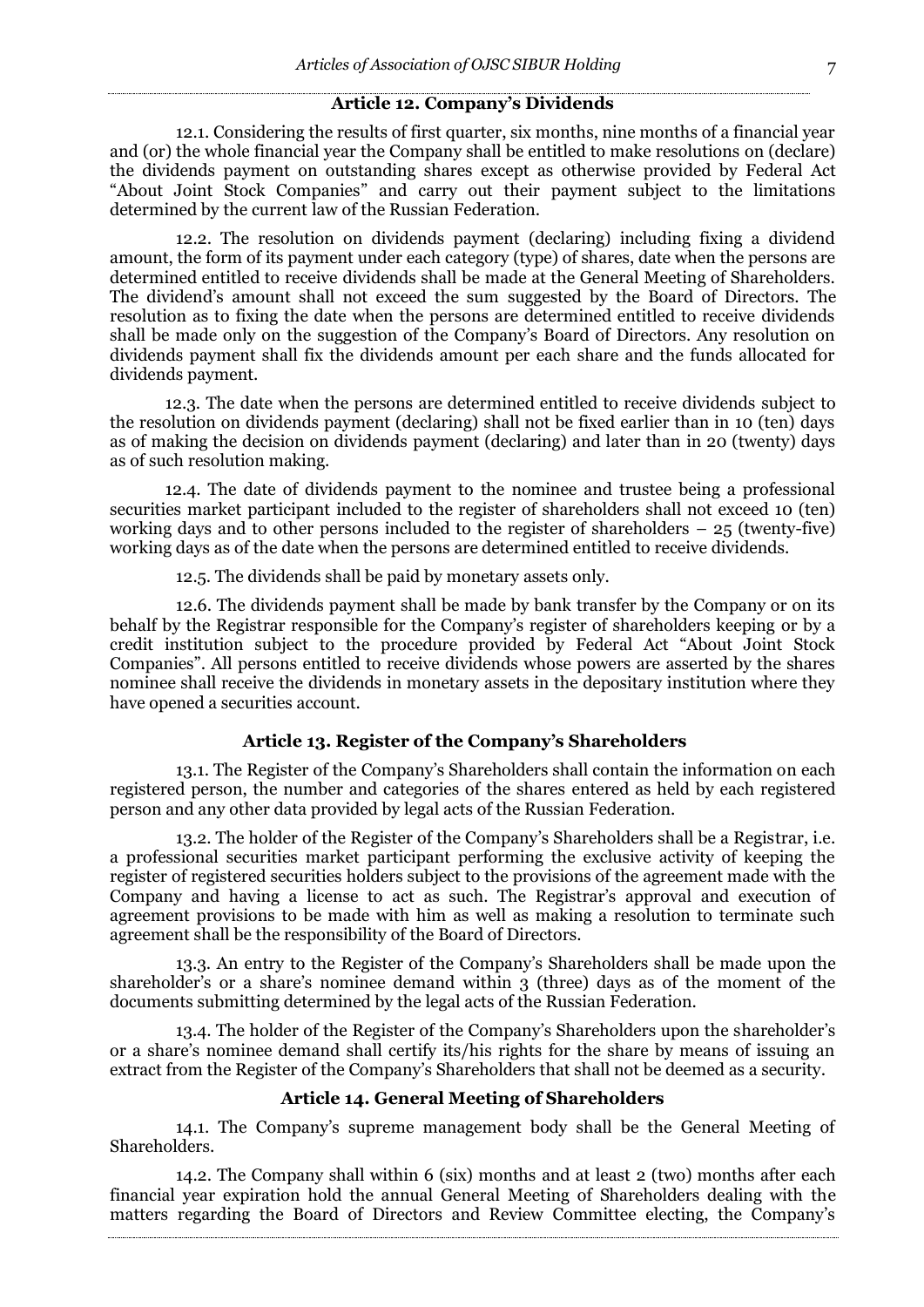#### **Article 12. Company's Dividends**

12.1. Considering the results of first quarter, six months, nine months of a financial year and (or) the whole financial year the Company shall be entitled to make resolutions on (declare) the dividends payment on outstanding shares except as otherwise provided by Federal Act "About Joint Stock Companies" and carry out their payment subject to the limitations determined by the current law of the Russian Federation.

12.2. The resolution on dividends payment (declaring) including fixing a dividend amount, the form of its payment under each category (type) of shares, date when the persons are determined entitled to receive dividends shall be made at the General Meeting of Shareholders. The dividend's amount shall not exceed the sum suggested by the Board of Directors. The resolution as to fixing the date when the persons are determined entitled to receive dividends shall be made only on the suggestion of the Company's Board of Directors. Any resolution on dividends payment shall fix the dividends amount per each share and the funds allocated for dividends payment.

12.3. The date when the persons are determined entitled to receive dividends subject to the resolution on dividends payment (declaring) shall not be fixed earlier than in 10 (ten) days as of making the decision on dividends payment (declaring) and later than in 20 (twenty) days as of such resolution making.

12.4. The date of dividends payment to the nominee and trustee being a professional securities market participant included to the register of shareholders shall not exceed 10 (ten) working days and to other persons included to the register of shareholders – 25 (twenty-five) working days as of the date when the persons are determined entitled to receive dividends.

12.5. The dividends shall be paid by monetary assets only.

12.6. The dividends payment shall be made by bank transfer by the Company or on its behalf by the Registrar responsible for the Company's register of shareholders keeping or by a credit institution subject to the procedure provided by Federal Act "About Joint Stock Companies". All persons entitled to receive dividends whose powers are asserted by the shares nominee shall receive the dividends in monetary assets in the depositary institution where they have opened a securities account.

#### **Article 13. Register of the Company's Shareholders**

13.1. The Register of the Company's Shareholders shall contain the information on each registered person, the number and categories of the shares entered as held by each registered person and any other data provided by legal acts of the Russian Federation.

13.2. The holder of the Register of the Company's Shareholders shall be a Registrar, i.e. a professional securities market participant performing the exclusive activity of keeping the register of registered securities holders subject to the provisions of the agreement made with the Company and having a license to act as such. The Registrar's approval and execution of agreement provisions to be made with him as well as making a resolution to terminate such agreement shall be the responsibility of the Board of Directors.

13.3. An entry to the Register of the Company's Shareholders shall be made upon the shareholder's or a share's nominee demand within 3 (three) days as of the moment of the documents submitting determined by the legal acts of the Russian Federation.

13.4. The holder of the Register of the Company's Shareholders upon the shareholder's or a share's nominee demand shall certify its/his rights for the share by means of issuing an extract from the Register of the Company's Shareholders that shall not be deemed as a security.

# **Article 14. General Meeting of Shareholders**

14.1. The Company's supreme management body shall be the General Meeting of Shareholders.

14.2. The Company shall within 6 (six) months and at least 2 (two) months after each financial year expiration hold the annual General Meeting of Shareholders dealing with the matters regarding the Board of Directors and Review Committee electing, the Company's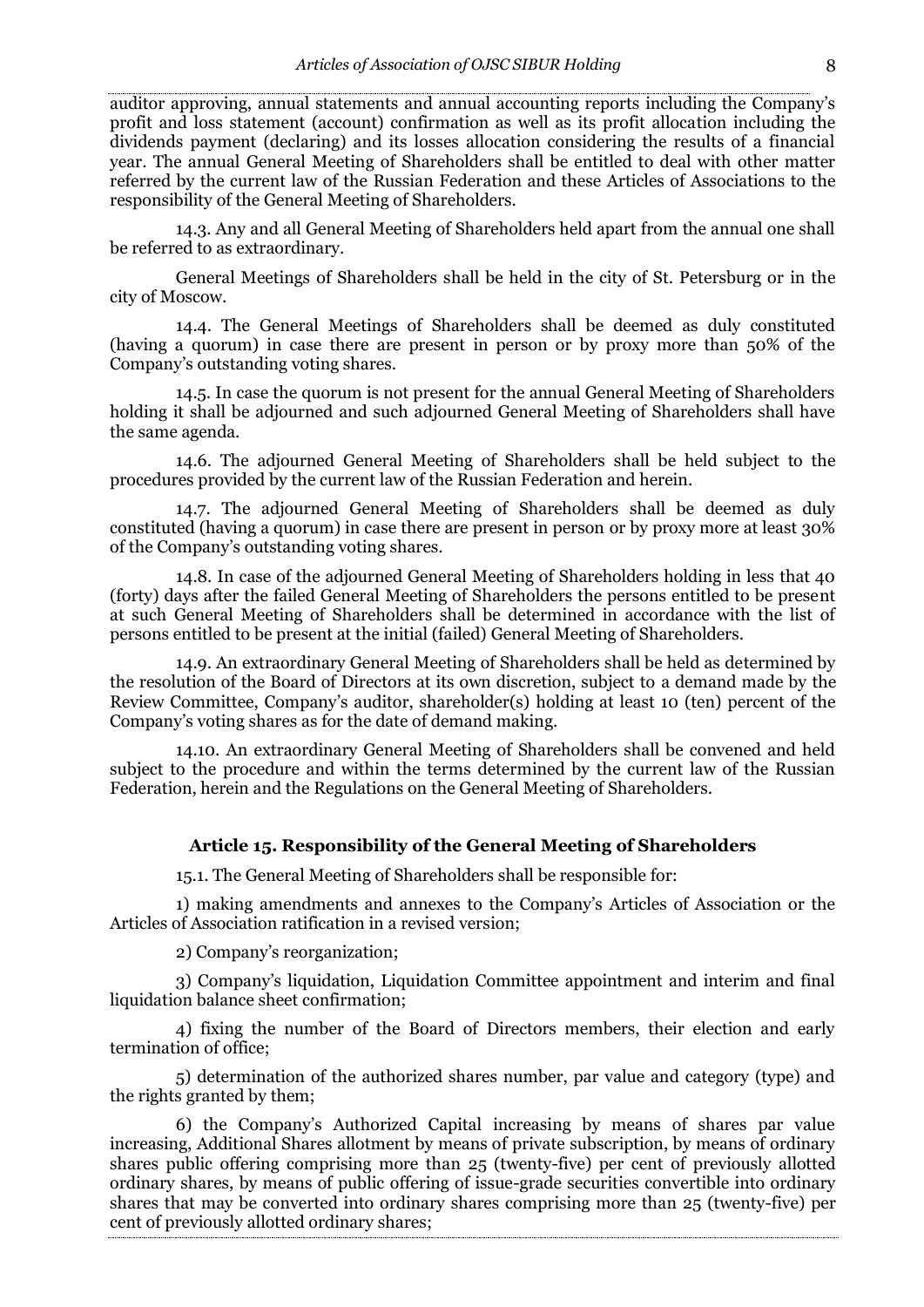auditor approving, annual statements and annual accounting reports including the Company's profit and loss statement (account) confirmation as well as its profit allocation including the dividends payment (declaring) and its losses allocation considering the results of a financial year. The annual General Meeting of Shareholders shall be entitled to deal with other matter referred by the current law of the Russian Federation and these Articles of Associations to the responsibility of the General Meeting of Shareholders.

14.3. Any and all General Meeting of Shareholders held apart from the annual one shall be referred to as extraordinary.

General Meetings of Shareholders shall be held in the city of St. Petersburg or in the city of Moscow.

14.4. The General Meetings of Shareholders shall be deemed as duly constituted (having a quorum) in case there are present in person or by proxy more than 50% of the Company's outstanding voting shares.

14.5. In case the quorum is not present for the annual General Meeting of Shareholders holding it shall be adjourned and such adjourned General Meeting of Shareholders shall have the same agenda.

14.6. The adjourned General Meeting of Shareholders shall be held subject to the procedures provided by the current law of the Russian Federation and herein.

14.7. The adjourned General Meeting of Shareholders shall be deemed as duly constituted (having a quorum) in case there are present in person or by proxy more at least 30% of the Company's outstanding voting shares.

14.8. In case of the adjourned General Meeting of Shareholders holding in less that 40 (forty) days after the failed General Meeting of Shareholders the persons entitled to be present at such General Meeting of Shareholders shall be determined in accordance with the list of persons entitled to be present at the initial (failed) General Meeting of Shareholders.

14.9. An extraordinary General Meeting of Shareholders shall be held as determined by the resolution of the Board of Directors at its own discretion, subject to a demand made by the Review Committee, Company's auditor, shareholder(s) holding at least 10 (ten) percent of the Company's voting shares as for the date of demand making.

14.10. An extraordinary General Meeting of Shareholders shall be convened and held subject to the procedure and within the terms determined by the current law of the Russian Federation, herein and the Regulations on the General Meeting of Shareholders.

## **Article 15. Responsibility of the General Meeting of Shareholders**

15.1. The General Meeting of Shareholders shall be responsible for:

1) making amendments and annexes to the Company's Articles of Association or the Articles of Association ratification in a revised version;

2) Company's reorganization;

3) Company's liquidation, Liquidation Committee appointment and interim and final liquidation balance sheet confirmation;

4) fixing the number of the Board of Directors members, their election and early termination of office;

5) determination of the authorized shares number, par value and category (type) and the rights granted by them;

6) the Company's Authorized Capital increasing by means of shares par value increasing, Additional Shares allotment by means of private subscription, by means of ordinary shares public offering comprising more than 25 (twenty-five) per cent of previously allotted ordinary shares, by means of public offering of issue-grade securities convertible into ordinary shares that may be converted into ordinary shares comprising more than 25 (twenty-five) per cent of previously allotted ordinary shares;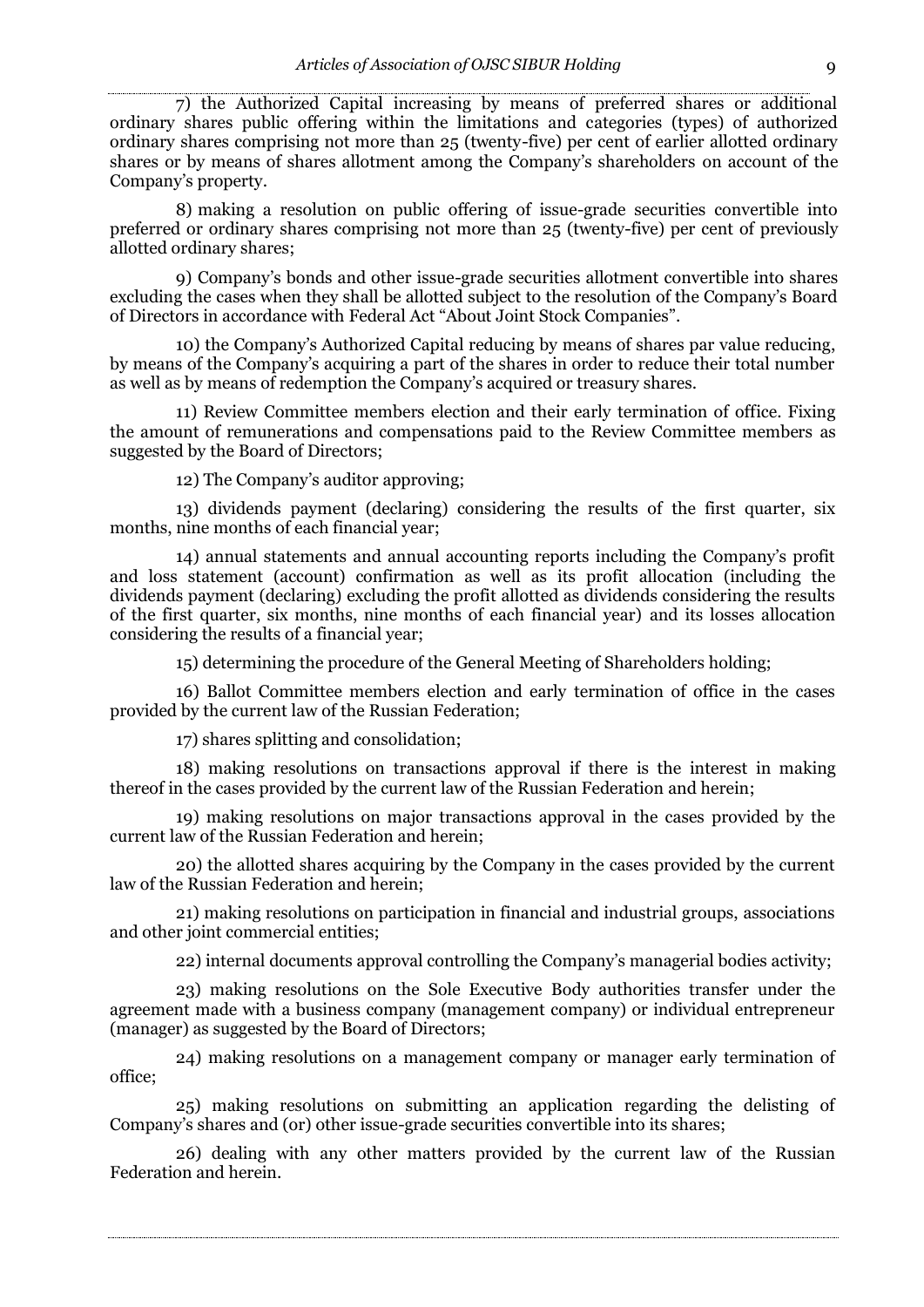7) the Authorized Capital increasing by means of preferred shares or additional ordinary shares public offering within the limitations and categories (types) of authorized ordinary shares comprising not more than 25 (twenty-five) per cent of earlier allotted ordinary shares or by means of shares allotment among the Company's shareholders on account of the Company's property.

8) making a resolution on public offering of issue-grade securities convertible into preferred or ordinary shares comprising not more than 25 (twenty-five) per cent of previously allotted ordinary shares;

9) Company's bonds and other issue-grade securities allotment convertible into shares excluding the cases when they shall be allotted subject to the resolution of the Company's Board of Directors in accordance with Federal Act "About Joint Stock Companies".

10) the Company's Authorized Capital reducing by means of shares par value reducing, by means of the Company's acquiring a part of the shares in order to reduce their total number as well as by means of redemption the Company's acquired or treasury shares.

11) Review Committee members election and their early termination of office. Fixing the amount of remunerations and compensations paid to the Review Committee members as suggested by the Board of Directors;

12) The Company's auditor approving;

13) dividends payment (declaring) considering the results of the first quarter, six months, nine months of each financial year;

14) annual statements and annual accounting reports including the Company's profit and loss statement (account) confirmation as well as its profit allocation (including the dividends payment (declaring) excluding the profit allotted as dividends considering the results of the first quarter, six months, nine months of each financial year) and its losses allocation considering the results of a financial year;

15) determining the procedure of the General Meeting of Shareholders holding;

16) Ballot Committee members election and early termination of office in the cases provided by the current law of the Russian Federation;

17) shares splitting and consolidation;

18) making resolutions on transactions approval if there is the interest in making thereof in the cases provided by the current law of the Russian Federation and herein;

19) making resolutions on major transactions approval in the cases provided by the current law of the Russian Federation and herein;

20) the allotted shares acquiring by the Company in the cases provided by the current law of the Russian Federation and herein;

21) making resolutions on participation in financial and industrial groups, associations and other joint commercial entities:

22) internal documents approval controlling the Company's managerial bodies activity;

23) making resolutions on the Sole Executive Body authorities transfer under the agreement made with a business company (management company) or individual entrepreneur (manager) as suggested by the Board of Directors;

24) making resolutions on a management company or manager early termination of office;

25) making resolutions on submitting an application regarding the delisting of Company's shares and (or) other issue-grade securities convertible into its shares;

26) dealing with any other matters provided by the current law of the Russian Federation and herein.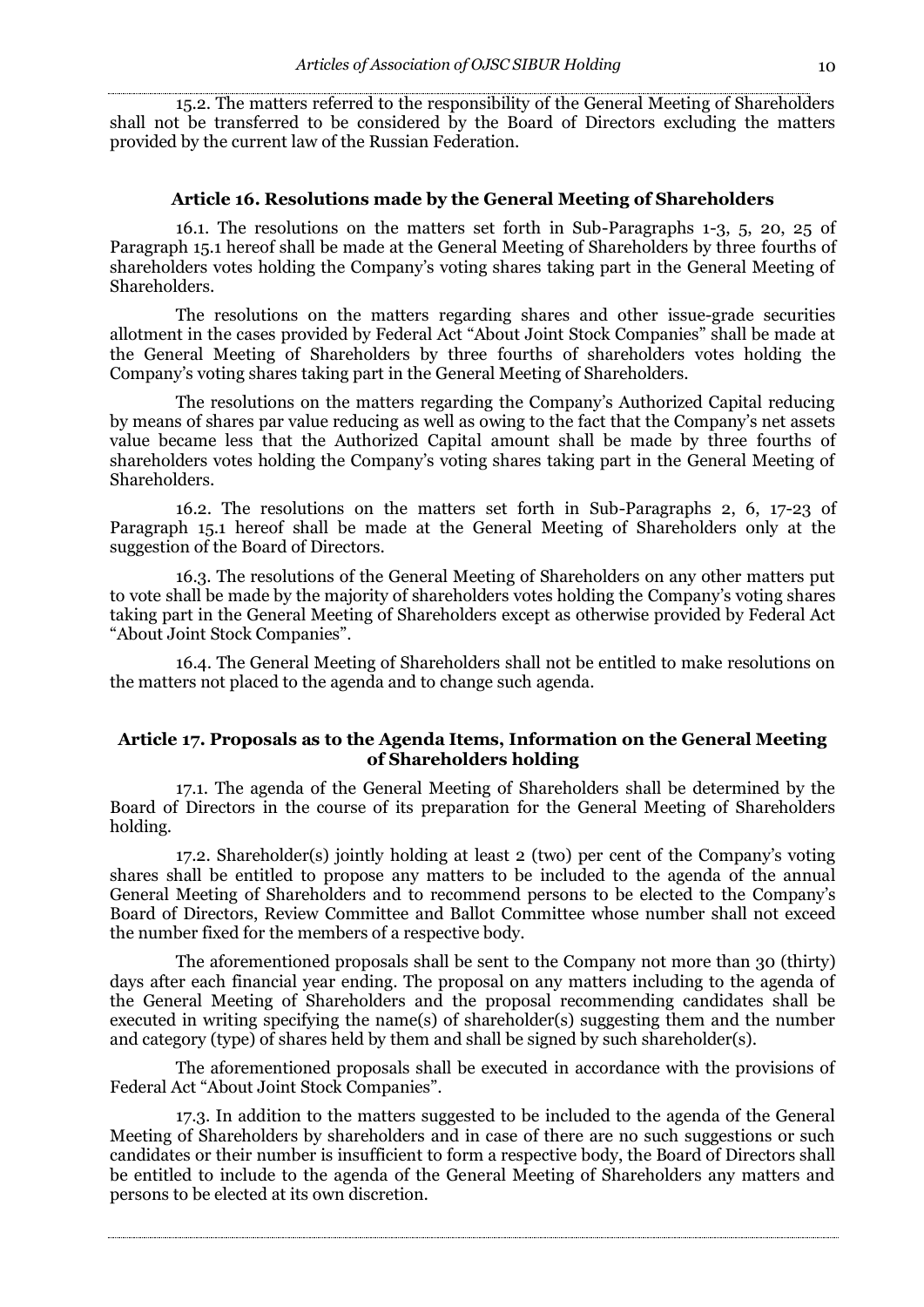15.2. The matters referred to the responsibility of the General Meeting of Shareholders shall not be transferred to be considered by the Board of Directors excluding the matters provided by the current law of the Russian Federation.

#### **Article 16. Resolutions made by the General Meeting of Shareholders**

16.1. The resolutions on the matters set forth in Sub-Paragraphs 1-3, 5, 20, 25 of Paragraph 15.1 hereof shall be made at the General Meeting of Shareholders by three fourths of shareholders votes holding the Company's voting shares taking part in the General Meeting of Shareholders.

The resolutions on the matters regarding shares and other issue-grade securities allotment in the cases provided by Federal Act "About Joint Stock Companies" shall be made at the General Meeting of Shareholders by three fourths of shareholders votes holding the Company's voting shares taking part in the General Meeting of Shareholders.

The resolutions on the matters regarding the Company's Authorized Capital reducing by means of shares par value reducing as well as owing to the fact that the Company's net assets value became less that the Authorized Capital amount shall be made by three fourths of shareholders votes holding the Company's voting shares taking part in the General Meeting of Shareholders.

16.2. The resolutions on the matters set forth in Sub-Paragraphs 2, 6, 17-23 of Paragraph 15.1 hereof shall be made at the General Meeting of Shareholders only at the suggestion of the Board of Directors.

16.3. The resolutions of the General Meeting of Shareholders on any other matters put to vote shall be made by the majority of shareholders votes holding the Company's voting shares taking part in the General Meeting of Shareholders except as otherwise provided by Federal Act "About Joint Stock Companies".

16.4. The General Meeting of Shareholders shall not be entitled to make resolutions on the matters not placed to the agenda and to change such agenda.

# **Article 17. Proposals as to the Agenda Items, Information on the General Meeting of Shareholders holding**

17.1. The agenda of the General Meeting of Shareholders shall be determined by the Board of Directors in the course of its preparation for the General Meeting of Shareholders holding.

17.2. Shareholder(s) jointly holding at least 2 (two) per cent of the Company's voting shares shall be entitled to propose any matters to be included to the agenda of the annual General Meeting of Shareholders and to recommend persons to be elected to the Company's Board of Directors, Review Committee and Ballot Committee whose number shall not exceed the number fixed for the members of a respective body.

The aforementioned proposals shall be sent to the Company not more than 30 (thirty) days after each financial year ending. The proposal on any matters including to the agenda of the General Meeting of Shareholders and the proposal recommending candidates shall be executed in writing specifying the name(s) of shareholder(s) suggesting them and the number and category (type) of shares held by them and shall be signed by such shareholder(s).

The aforementioned proposals shall be executed in accordance with the provisions of Federal Act "About Joint Stock Companies".

17.3. In addition to the matters suggested to be included to the agenda of the General Meeting of Shareholders by shareholders and in case of there are no such suggestions or such candidates or their number is insufficient to form a respective body, the Board of Directors shall be entitled to include to the agenda of the General Meeting of Shareholders any matters and persons to be elected at its own discretion.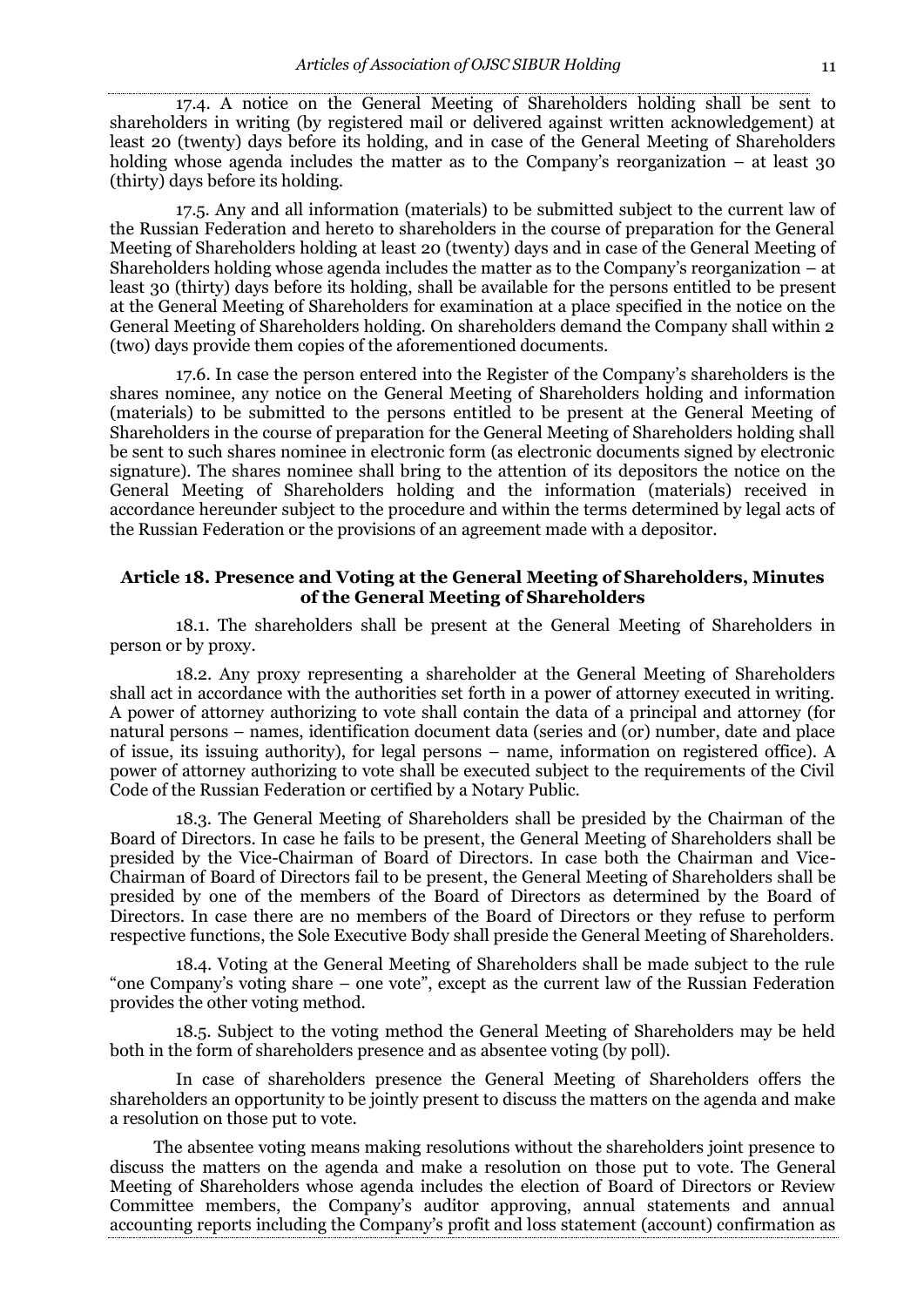17.4. A notice on the General Meeting of Shareholders holding shall be sent to shareholders in writing (by registered mail or delivered against written acknowledgement) at least 20 (twenty) days before its holding, and in case of the General Meeting of Shareholders holding whose agenda includes the matter as to the Company's reorganization – at least 30 (thirty) days before its holding.

17.5. Any and all information (materials) to be submitted subject to the current law of the Russian Federation and hereto to shareholders in the course of preparation for the General Meeting of Shareholders holding at least 20 (twenty) days and in case of the General Meeting of Shareholders holding whose agenda includes the matter as to the Company's reorganization – at least 30 (thirty) days before its holding, shall be available for the persons entitled to be present at the General Meeting of Shareholders for examination at a place specified in the notice on the General Meeting of Shareholders holding. On shareholders demand the Company shall within 2 (two) days provide them copies of the aforementioned documents.

17.6. In case the person entered into the Register of the Company's shareholders is the shares nominee, any notice on the General Meeting of Shareholders holding and information (materials) to be submitted to the persons entitled to be present at the General Meeting of Shareholders in the course of preparation for the General Meeting of Shareholders holding shall be sent to such shares nominee in electronic form (as electronic documents signed by electronic signature). The shares nominee shall bring to the attention of its depositors the notice on the General Meeting of Shareholders holding and the information (materials) received in accordance hereunder subject to the procedure and within the terms determined by legal acts of the Russian Federation or the provisions of an agreement made with a depositor.

# **Article 18. Presence and Voting at the General Meeting of Shareholders, Minutes of the General Meeting of Shareholders**

18.1. The shareholders shall be present at the General Meeting of Shareholders in person or by proxy.

18.2. Any proxy representing a shareholder at the General Meeting of Shareholders shall act in accordance with the authorities set forth in a power of attorney executed in writing. A power of attorney authorizing to vote shall contain the data of a principal and attorney (for natural persons – names, identification document data (series and (or) number, date and place of issue, its issuing authority), for legal persons – name, information on registered office). A power of attorney authorizing to vote shall be executed subject to the requirements of the Civil Code of the Russian Federation or certified by a Notary Public.

18.3. The General Meeting of Shareholders shall be presided by the Chairman of the Board of Directors. In case he fails to be present, the General Meeting of Shareholders shall be presided by the Vice-Chairman of Board of Directors. In case both the Chairman and Vice-Chairman of Board of Directors fail to be present, the General Meeting of Shareholders shall be presided by one of the members of the Board of Directors as determined by the Board of Directors. In case there are no members of the Board of Directors or they refuse to perform respective functions, the Sole Executive Body shall preside the General Meeting of Shareholders.

18.4. Voting at the General Meeting of Shareholders shall be made subject to the rule "one Company's voting share – one vote", except as the current law of the Russian Federation provides the other voting method.

18.5. Subject to the voting method the General Meeting of Shareholders may be held both in the form of shareholders presence and as absentee voting (by poll).

In case of shareholders presence the General Meeting of Shareholders offers the shareholders an opportunity to be jointly present to discuss the matters on the agenda and make a resolution on those put to vote.

The absentee voting means making resolutions without the shareholders joint presence to discuss the matters on the agenda and make a resolution on those put to vote. The General Meeting of Shareholders whose agenda includes the election of Board of Directors or Review Committee members, the Company's auditor approving, annual statements and annual accounting reports including the Company's profit and loss statement (account) confirmation as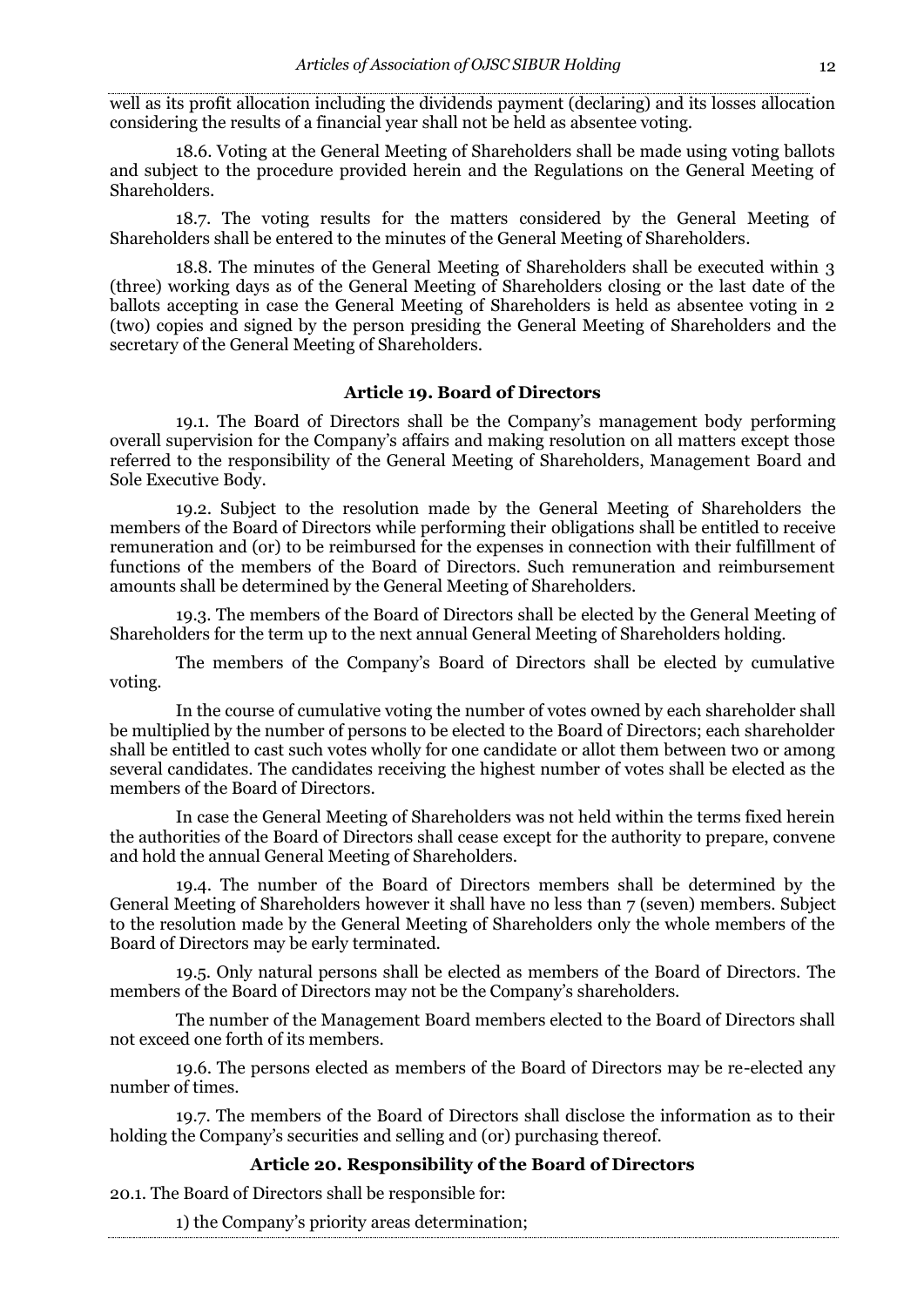well as its profit allocation including the dividends payment (declaring) and its losses allocation considering the results of a financial year shall not be held as absentee voting.

18.6. Voting at the General Meeting of Shareholders shall be made using voting ballots and subject to the procedure provided herein and the Regulations on the General Meeting of Shareholders.

18.7. The voting results for the matters considered by the General Meeting of Shareholders shall be entered to the minutes of the General Meeting of Shareholders.

18.8. The minutes of the General Meeting of Shareholders shall be executed within 3 (three) working days as of the General Meeting of Shareholders closing or the last date of the ballots accepting in case the General Meeting of Shareholders is held as absentee voting in 2 (two) copies and signed by the person presiding the General Meeting of Shareholders and the secretary of the General Meeting of Shareholders.

## **Article 19. Board of Directors**

19.1. The Board of Directors shall be the Company's management body performing overall supervision for the Company's affairs and making resolution on all matters except those referred to the responsibility of the General Meeting of Shareholders, Management Board and Sole Executive Body.

19.2. Subject to the resolution made by the General Meeting of Shareholders the members of the Board of Directors while performing their obligations shall be entitled to receive remuneration and (or) to be reimbursed for the expenses in connection with their fulfillment of functions of the members of the Board of Directors. Such remuneration and reimbursement amounts shall be determined by the General Meeting of Shareholders.

19.3. The members of the Board of Directors shall be elected by the General Meeting of Shareholders for the term up to the next annual General Meeting of Shareholders holding.

The members of the Company's Board of Directors shall be elected by cumulative voting.

In the course of cumulative voting the number of votes owned by each shareholder shall be multiplied by the number of persons to be elected to the Board of Directors; each shareholder shall be entitled to cast such votes wholly for one candidate or allot them between two or among several candidates. The candidates receiving the highest number of votes shall be elected as the members of the Board of Directors.

In case the General Meeting of Shareholders was not held within the terms fixed herein the authorities of the Board of Directors shall cease except for the authority to prepare, convene and hold the annual General Meeting of Shareholders.

19.4. The number of the Board of Directors members shall be determined by the General Meeting of Shareholders however it shall have no less than 7 (seven) members. Subject to the resolution made by the General Meeting of Shareholders only the whole members of the Board of Directors may be early terminated.

19.5. Only natural persons shall be elected as members of the Board of Directors. The members of the Board of Directors may not be the Company's shareholders.

The number of the Management Board members elected to the Board of Directors shall not exceed one forth of its members.

19.6. The persons elected as members of the Board of Directors may be re-elected any number of times.

19.7. The members of the Board of Directors shall disclose the information as to their holding the Company's securities and selling and (or) purchasing thereof.

#### **Article 20. Responsibility of the Board of Directors**

20.1. The Board of Directors shall be responsible for:

1) the Company's priority areas determination;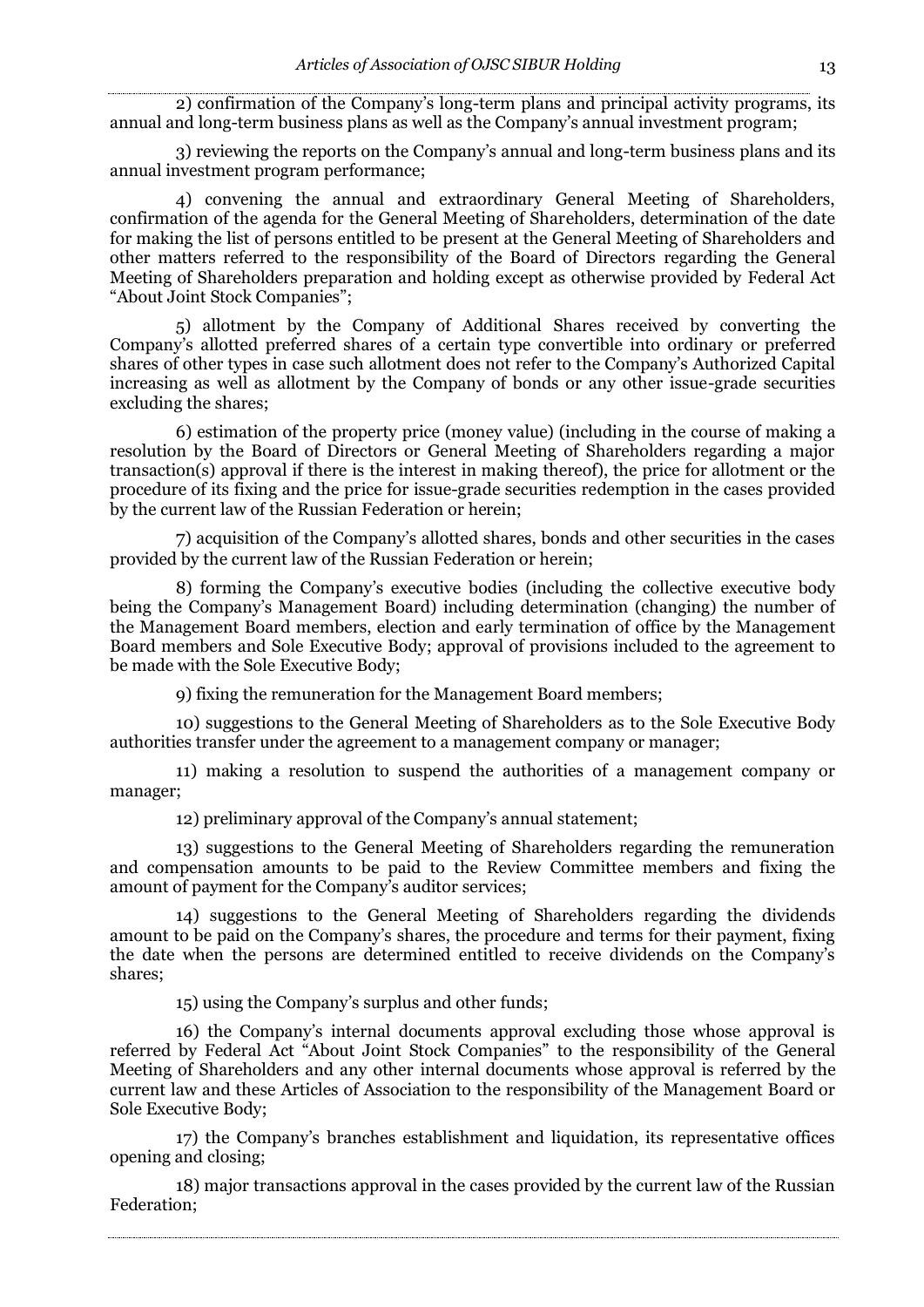2) confirmation of the Company's long-term plans and principal activity programs, its annual and long-term business plans as well as the Company's annual investment program;

3) reviewing the reports on the Company's annual and long-term business plans and its annual investment program performance;

4) convening the annual and extraordinary General Meeting of Shareholders, confirmation of the agenda for the General Meeting of Shareholders, determination of the date for making the list of persons entitled to be present at the General Meeting of Shareholders and other matters referred to the responsibility of the Board of Directors regarding the General Meeting of Shareholders preparation and holding except as otherwise provided by Federal Act "About Joint Stock Companies";

5) allotment by the Company of Additional Shares received by converting the Company's allotted preferred shares of a certain type convertible into ordinary or preferred shares of other types in case such allotment does not refer to the Company's Authorized Capital increasing as well as allotment by the Company of bonds or any other issue-grade securities excluding the shares;

6) estimation of the property price (money value) (including in the course of making a resolution by the Board of Directors or General Meeting of Shareholders regarding a major transaction(s) approval if there is the interest in making thereof), the price for allotment or the procedure of its fixing and the price for issue-grade securities redemption in the cases provided by the current law of the Russian Federation or herein;

7) acquisition of the Company's allotted shares, bonds and other securities in the cases provided by the current law of the Russian Federation or herein;

8) forming the Company's executive bodies (including the collective executive body being the Company's Management Board) including determination (changing) the number of the Management Board members, election and early termination of office by the Management Board members and Sole Executive Body; approval of provisions included to the agreement to be made with the Sole Executive Body;

9) fixing the remuneration for the Management Board members;

10) suggestions to the General Meeting of Shareholders as to the Sole Executive Body authorities transfer under the agreement to a management company or manager;

11) making a resolution to suspend the authorities of a management company or manager;

12) preliminary approval of the Company's annual statement;

13) suggestions to the General Meeting of Shareholders regarding the remuneration and compensation amounts to be paid to the Review Committee members and fixing the amount of payment for the Company's auditor services;

14) suggestions to the General Meeting of Shareholders regarding the dividends amount to be paid on the Company's shares, the procedure and terms for their payment, fixing the date when the persons are determined entitled to receive dividends on the Company's shares;

15) using the Company's surplus and other funds;

16) the Company's internal documents approval excluding those whose approval is referred by Federal Act "About Joint Stock Companies" to the responsibility of the General Meeting of Shareholders and any other internal documents whose approval is referred by the current law and these Articles of Association to the responsibility of the Management Board or Sole Executive Body;

17) the Company's branches establishment and liquidation, its representative offices opening and closing;

18) major transactions approval in the cases provided by the current law of the Russian Federation;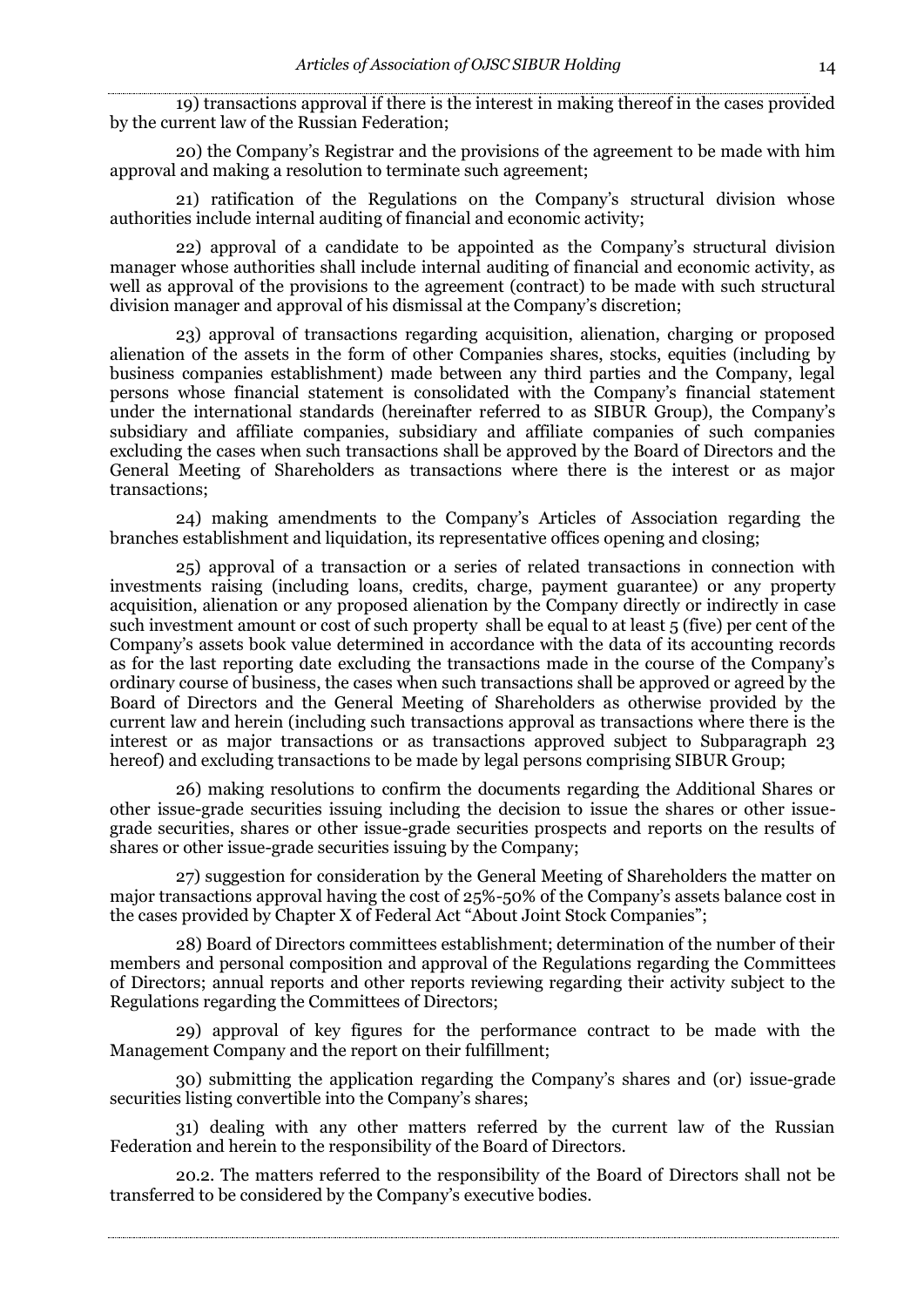19) transactions approval if there is the interest in making thereof in the cases provided by the current law of the Russian Federation;

20) the Company's Registrar and the provisions of the agreement to be made with him approval and making a resolution to terminate such agreement;

21) ratification of the Regulations on the Company's structural division whose authorities include internal auditing of financial and economic activity;

22) approval of a candidate to be appointed as the Company's structural division manager whose authorities shall include internal auditing of financial and economic activity, as well as approval of the provisions to the agreement (contract) to be made with such structural division manager and approval of his dismissal at the Company's discretion;

23) approval of transactions regarding acquisition, alienation, charging or proposed alienation of the assets in the form of other Companies shares, stocks, equities (including by business companies establishment) made between any third parties and the Company, legal persons whose financial statement is consolidated with the Company's financial statement under the international standards (hereinafter referred to as SIBUR Group), the Company's subsidiary and affiliate companies, subsidiary and affiliate companies of such companies excluding the cases when such transactions shall be approved by the Board of Directors and the General Meeting of Shareholders as transactions where there is the interest or as major transactions;

24) making amendments to the Company's Articles of Association regarding the branches establishment and liquidation, its representative offices opening and closing;

25) approval of a transaction or a series of related transactions in connection with investments raising (including loans, credits, charge, payment guarantee) or any property acquisition, alienation or any proposed alienation by the Company directly or indirectly in case such investment amount or cost of such property shall be equal to at least 5 (five) per cent of the Company's assets book value determined in accordance with the data of its accounting records as for the last reporting date excluding the transactions made in the course of the Company's ordinary course of business, the cases when such transactions shall be approved or agreed by the Board of Directors and the General Meeting of Shareholders as otherwise provided by the current law and herein (including such transactions approval as transactions where there is the interest or as major transactions or as transactions approved subject to Subparagraph 23 hereof) and excluding transactions to be made by legal persons comprising SIBUR Group;

26) making resolutions to confirm the documents regarding the Additional Shares or other issue-grade securities issuing including the decision to issue the shares or other issuegrade securities, shares or other issue-grade securities prospects and reports on the results of shares or other issue-grade securities issuing by the Company;

27) suggestion for consideration by the General Meeting of Shareholders the matter on major transactions approval having the cost of 25%-50% of the Company's assets balance cost in the cases provided by Chapter X of Federal Act "About Joint Stock Companies";

28) Board of Directors committees establishment; determination of the number of their members and personal composition and approval of the Regulations regarding the Committees of Directors; annual reports and other reports reviewing regarding their activity subject to the Regulations regarding the Committees of Directors;

29) approval of key figures for the performance contract to be made with the Management Company and the report on their fulfillment;

30) submitting the application regarding the Company's shares and (or) issue-grade securities listing convertible into the Company's shares;

31) dealing with any other matters referred by the current law of the Russian Federation and herein to the responsibility of the Board of Directors.

20.2. The matters referred to the responsibility of the Board of Directors shall not be transferred to be considered by the Company's executive bodies.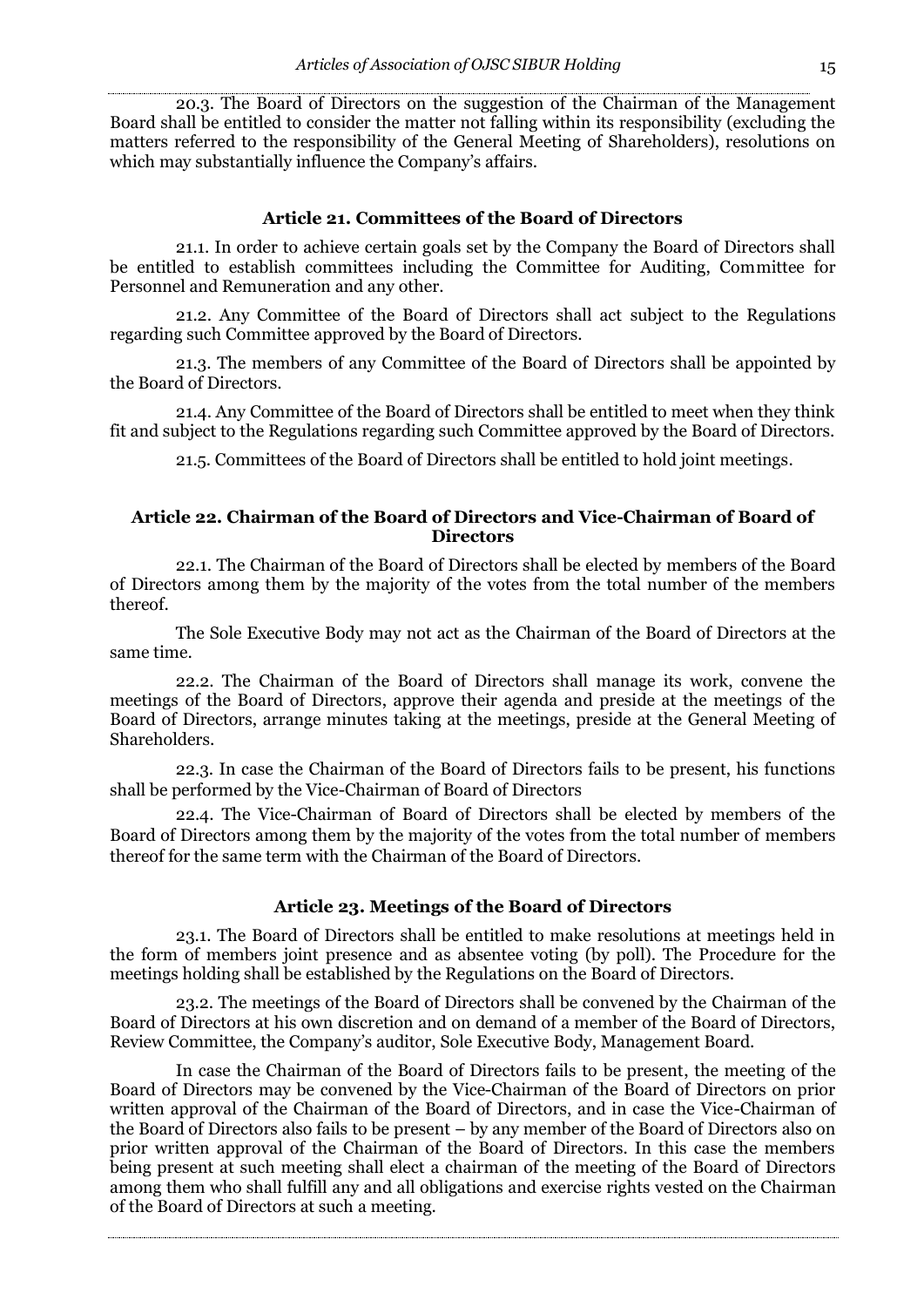20.3. The Board of Directors on the suggestion of the Chairman of the Management Board shall be entitled to consider the matter not falling within its responsibility (excluding the matters referred to the responsibility of the General Meeting of Shareholders), resolutions on which may substantially influence the Company's affairs.

#### **Article 21. Committees of the Board of Directors**

21.1. In order to achieve certain goals set by the Company the Board of Directors shall be entitled to establish committees including the Committee for Auditing, Committee for Personnel and Remuneration and any other.

21.2. Any Committee of the Board of Directors shall act subject to the Regulations regarding such Committee approved by the Board of Directors.

21.3. The members of any Committee of the Board of Directors shall be appointed by the Board of Directors.

21.4. Any Committee of the Board of Directors shall be entitled to meet when they think fit and subject to the Regulations regarding such Committee approved by the Board of Directors.

21.5. Committees of the Board of Directors shall be entitled to hold joint meetings.

# **Article 22. Chairman of the Board of Directors and Vice-Chairman of Board of Directors**

22.1. The Chairman of the Board of Directors shall be elected by members of the Board of Directors among them by the majority of the votes from the total number of the members thereof.

The Sole Executive Body may not act as the Chairman of the Board of Directors at the same time.

22.2. The Chairman of the Board of Directors shall manage its work, convene the meetings of the Board of Directors, approve their agenda and preside at the meetings of the Board of Directors, arrange minutes taking at the meetings, preside at the General Meeting of Shareholders.

22.3. In case the Chairman of the Board of Directors fails to be present, his functions shall be performed by the Vice-Chairman of Board of Directors

22.4. The Vice-Chairman of Board of Directors shall be elected by members of the Board of Directors among them by the majority of the votes from the total number of members thereof for the same term with the Chairman of the Board of Directors.

#### **Article 23. Meetings of the Board of Directors**

23.1. The Board of Directors shall be entitled to make resolutions at meetings held in the form of members joint presence and as absentee voting (by poll). The Procedure for the meetings holding shall be established by the Regulations on the Board of Directors.

23.2. The meetings of the Board of Directors shall be convened by the Chairman of the Board of Directors at his own discretion and on demand of a member of the Board of Directors, Review Committee, the Company's auditor, Sole Executive Body, Management Board.

In case the Chairman of the Board of Directors fails to be present, the meeting of the Board of Directors may be convened by the Vice-Chairman of the Board of Directors on prior written approval of the Chairman of the Board of Directors, and in case the Vice-Chairman of the Board of Directors also fails to be present – by any member of the Board of Directors also on prior written approval of the Chairman of the Board of Directors. In this case the members being present at such meeting shall elect a chairman of the meeting of the Board of Directors among them who shall fulfill any and all obligations and exercise rights vested on the Chairman of the Board of Directors at such a meeting.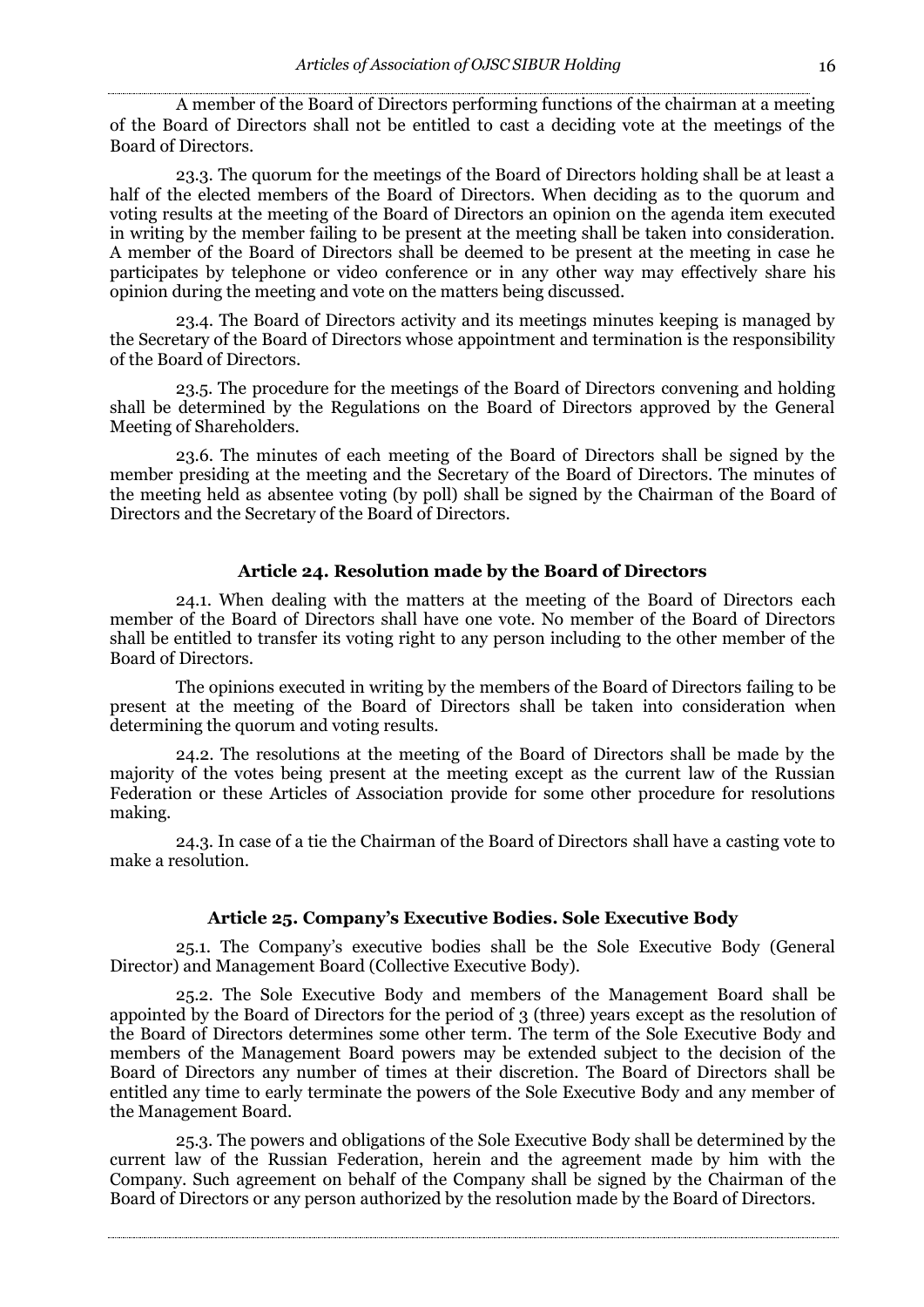A member of the Board of Directors performing functions of the chairman at a meeting of the Board of Directors shall not be entitled to cast a deciding vote at the meetings of the Board of Directors.

23.3. The quorum for the meetings of the Board of Directors holding shall be at least a half of the elected members of the Board of Directors. When deciding as to the quorum and voting results at the meeting of the Board of Directors an opinion on the agenda item executed in writing by the member failing to be present at the meeting shall be taken into consideration. A member of the Board of Directors shall be deemed to be present at the meeting in case he participates by telephone or video conference or in any other way may effectively share his opinion during the meeting and vote on the matters being discussed.

23.4. The Board of Directors activity and its meetings minutes keeping is managed by the Secretary of the Board of Directors whose appointment and termination is the responsibility of the Board of Directors.

23.5. The procedure for the meetings of the Board of Directors convening and holding shall be determined by the Regulations on the Board of Directors approved by the General Meeting of Shareholders.

23.6. The minutes of each meeting of the Board of Directors shall be signed by the member presiding at the meeting and the Secretary of the Board of Directors. The minutes of the meeting held as absentee voting (by poll) shall be signed by the Chairman of the Board of Directors and the Secretary of the Board of Directors.

## **Article 24. Resolution made by the Board of Directors**

24.1. When dealing with the matters at the meeting of the Board of Directors each member of the Board of Directors shall have one vote. No member of the Board of Directors shall be entitled to transfer its voting right to any person including to the other member of the Board of Directors.

The opinions executed in writing by the members of the Board of Directors failing to be present at the meeting of the Board of Directors shall be taken into consideration when determining the quorum and voting results.

24.2. The resolutions at the meeting of the Board of Directors shall be made by the majority of the votes being present at the meeting except as the current law of the Russian Federation or these Articles of Association provide for some other procedure for resolutions making.

24.3. In case of a tie the Chairman of the Board of Directors shall have a casting vote to make a resolution.

#### **Article 25. Company's Executive Bodies. Sole Executive Body**

25.1. The Company's executive bodies shall be the Sole Executive Body (General Director) and Management Board (Collective Executive Body).

25.2. The Sole Executive Body and members of the Management Board shall be appointed by the Board of Directors for the period of 3 (three) years except as the resolution of the Board of Directors determines some other term. The term of the Sole Executive Body and members of the Management Board powers may be extended subject to the decision of the Board of Directors any number of times at their discretion. The Board of Directors shall be entitled any time to early terminate the powers of the Sole Executive Body and any member of the Management Board.

25.3. The powers and obligations of the Sole Executive Body shall be determined by the current law of the Russian Federation, herein and the agreement made by him with the Company. Such agreement on behalf of the Company shall be signed by the Chairman of the Board of Directors or any person authorized by the resolution made by the Board of Directors.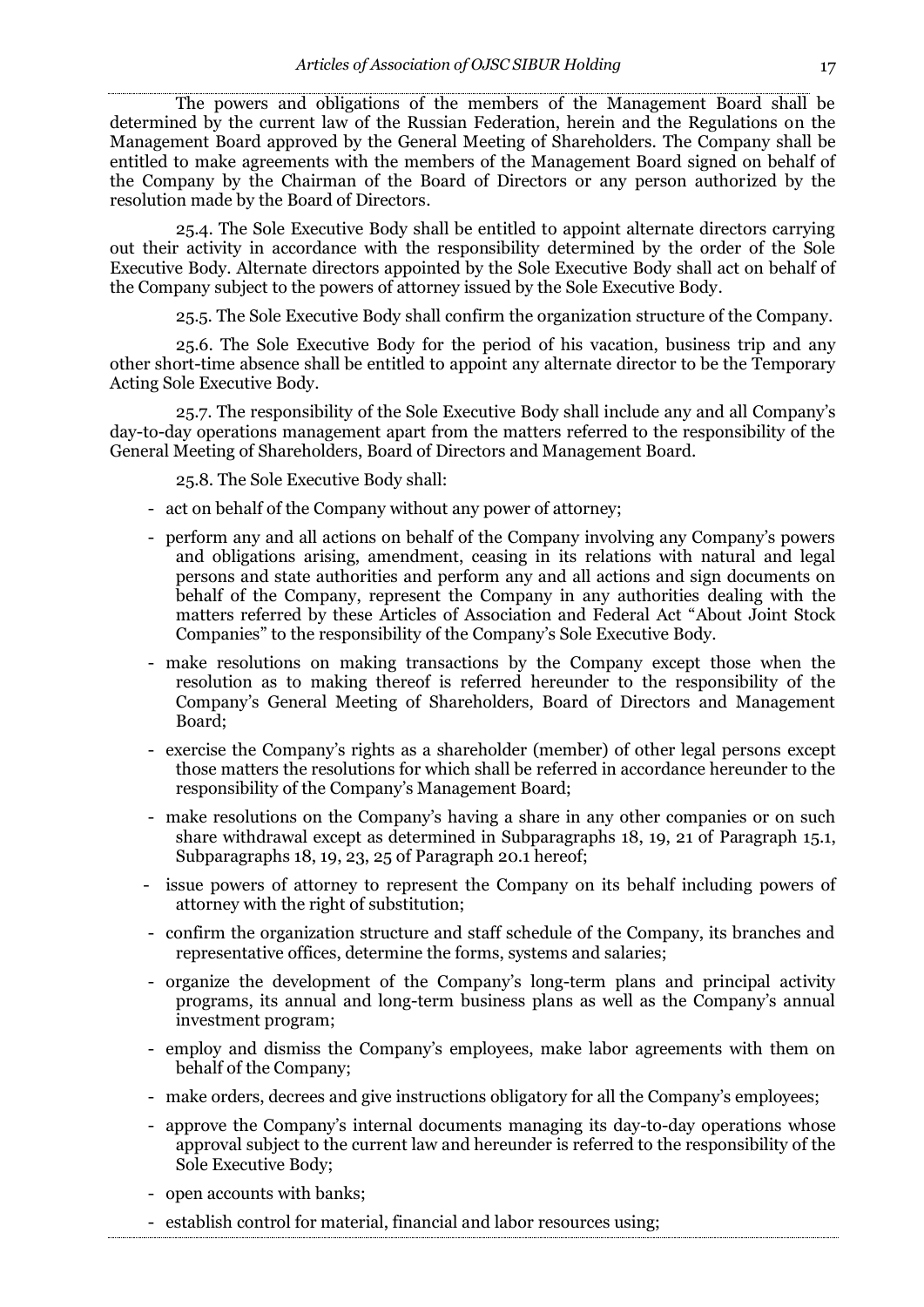The powers and obligations of the members of the Management Board shall be determined by the current law of the Russian Federation, herein and the Regulations on the Management Board approved by the General Meeting of Shareholders. The Company shall be entitled to make agreements with the members of the Management Board signed on behalf of the Company by the Chairman of the Board of Directors or any person authorized by the resolution made by the Board of Directors.

25.4. The Sole Executive Body shall be entitled to appoint alternate directors carrying out their activity in accordance with the responsibility determined by the order of the Sole Executive Body. Alternate directors appointed by the Sole Executive Body shall act on behalf of the Company subject to the powers of attorney issued by the Sole Executive Body.

25.5. The Sole Executive Body shall confirm the organization structure of the Company.

25.6. The Sole Executive Body for the period of his vacation, business trip and any other short-time absence shall be entitled to appoint any alternate director to be the Temporary Acting Sole Executive Body.

25.7. The responsibility of the Sole Executive Body shall include any and all Company's day-to-day operations management apart from the matters referred to the responsibility of the General Meeting of Shareholders, Board of Directors and Management Board.

25.8. The Sole Executive Body shall:

- act on behalf of the Company without any power of attorney;
- perform any and all actions on behalf of the Company involving any Company's powers and obligations arising, amendment, ceasing in its relations with natural and legal persons and state authorities and perform any and all actions and sign documents on behalf of the Company, represent the Company in any authorities dealing with the matters referred by these Articles of Association and Federal Act "About Joint Stock Companies" to the responsibility of the Company's Sole Executive Body.
- make resolutions on making transactions by the Company except those when the resolution as to making thereof is referred hereunder to the responsibility of the Company's General Meeting of Shareholders, Board of Directors and Management Board;
- exercise the Company's rights as a shareholder (member) of other legal persons except those matters the resolutions for which shall be referred in accordance hereunder to the responsibility of the Company's Management Board;
- make resolutions on the Company's having a share in any other companies or on such share withdrawal except as determined in Subparagraphs 18, 19, 21 of Paragraph 15.1, Subparagraphs 18, 19, 23, 25 of Paragraph 20.1 hereof;
- issue powers of attorney to represent the Company on its behalf including powers of attorney with the right of substitution;
- confirm the organization structure and staff schedule of the Company, its branches and representative offices, determine the forms, systems and salaries;
- organize the development of the Company's long-term plans and principal activity programs, its annual and long-term business plans as well as the Company's annual investment program;
- employ and dismiss the Company's employees, make labor agreements with them on behalf of the Company;
- make orders, decrees and give instructions obligatory for all the Company's employees;
- approve the Company's internal documents managing its day-to-day operations whose approval subject to the current law and hereunder is referred to the responsibility of the Sole Executive Body;
- open accounts with banks;
- establish control for material, financial and labor resources using;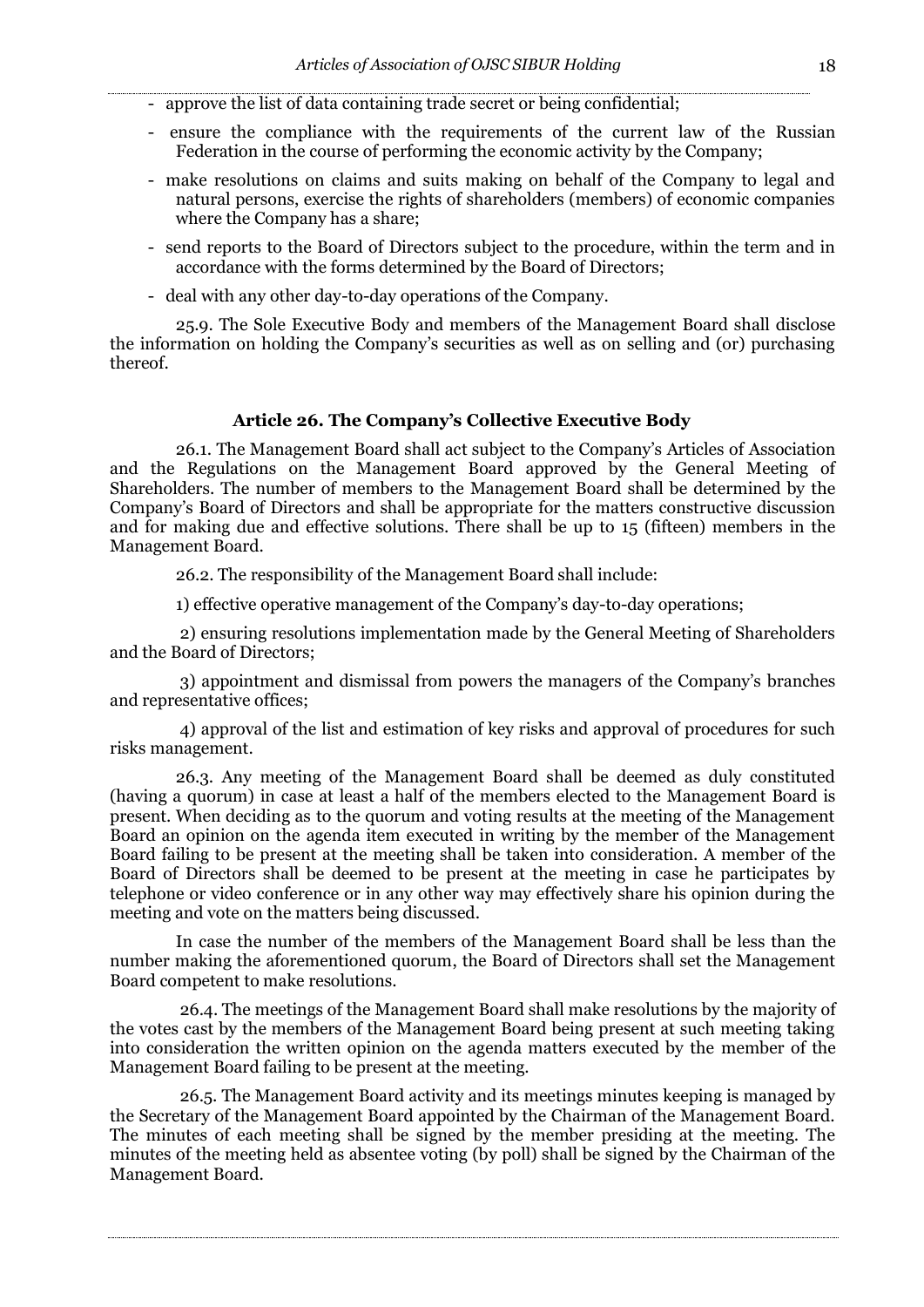- approve the list of data containing trade secret or being confidential;
- ensure the compliance with the requirements of the current law of the Russian Federation in the course of performing the economic activity by the Company;
- make resolutions on claims and suits making on behalf of the Company to legal and natural persons, exercise the rights of shareholders (members) of economic companies where the Company has a share;
- send reports to the Board of Directors subject to the procedure, within the term and in accordance with the forms determined by the Board of Directors;
- deal with any other day-to-day operations of the Company.

25.9. The Sole Executive Body and members of the Management Board shall disclose the information on holding the Company's securities as well as on selling and (or) purchasing thereof.

## **Article 26. The Company's Collective Executive Body**

26.1. The Management Board shall act subject to the Company's Articles of Association and the Regulations on the Management Board approved by the General Meeting of Shareholders. The number of members to the Management Board shall be determined by the Company's Board of Directors and shall be appropriate for the matters constructive discussion and for making due and effective solutions. There shall be up to 15 (fifteen) members in the Management Board.

26.2. The responsibility of the Management Board shall include:

1) effective operative management of the Company's day-to-day operations;

2) ensuring resolutions implementation made by the General Meeting of Shareholders and the Board of Directors;

3) appointment and dismissal from powers the managers of the Company's branches and representative offices;

4) approval of the list and estimation of key risks and approval of procedures for such risks management.

26.3. Any meeting of the Management Board shall be deemed as duly constituted (having a quorum) in case at least a half of the members elected to the Management Board is present. When deciding as to the quorum and voting results at the meeting of the Management Board an opinion on the agenda item executed in writing by the member of the Management Board failing to be present at the meeting shall be taken into consideration. A member of the Board of Directors shall be deemed to be present at the meeting in case he participates by telephone or video conference or in any other way may effectively share his opinion during the meeting and vote on the matters being discussed.

In case the number of the members of the Management Board shall be less than the number making the aforementioned quorum, the Board of Directors shall set the Management Board competent to make resolutions.

26.4. The meetings of the Management Board shall make resolutions by the majority of the votes cast by the members of the Management Board being present at such meeting taking into consideration the written opinion on the agenda matters executed by the member of the Management Board failing to be present at the meeting.

26.5. The Management Board activity and its meetings minutes keeping is managed by the Secretary of the Management Board appointed by the Chairman of the Management Board. The minutes of each meeting shall be signed by the member presiding at the meeting. The minutes of the meeting held as absentee voting (by poll) shall be signed by the Chairman of the Management Board.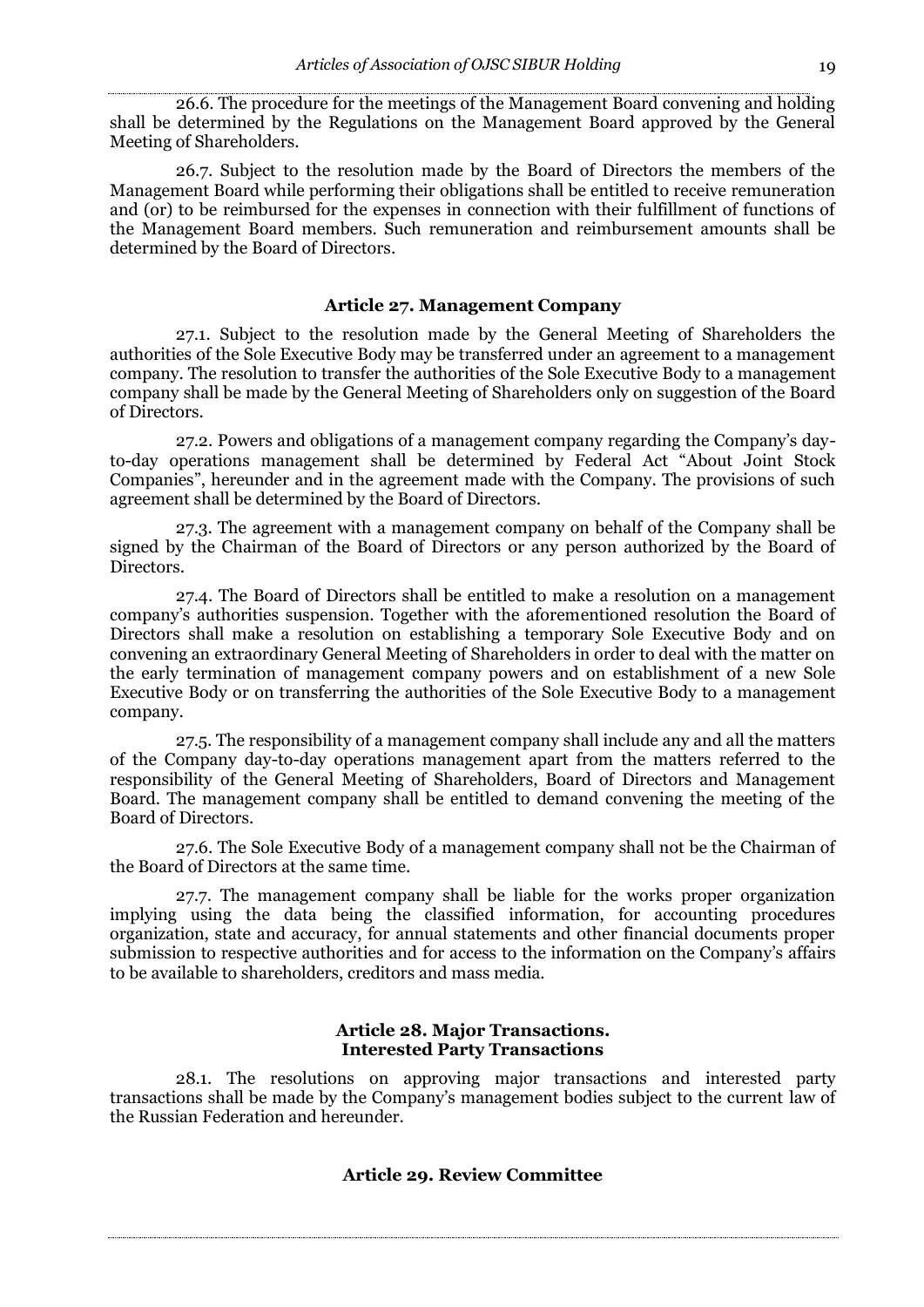26.6. The procedure for the meetings of the Management Board convening and holding shall be determined by the Regulations on the Management Board approved by the General Meeting of Shareholders.

26.7. Subject to the resolution made by the Board of Directors the members of the Management Board while performing their obligations shall be entitled to receive remuneration and (or) to be reimbursed for the expenses in connection with their fulfillment of functions of the Management Board members. Such remuneration and reimbursement amounts shall be determined by the Board of Directors.

## **Article 27. Management Company**

27.1. Subject to the resolution made by the General Meeting of Shareholders the authorities of the Sole Executive Body may be transferred under an agreement to a management company. The resolution to transfer the authorities of the Sole Executive Body to a management company shall be made by the General Meeting of Shareholders only on suggestion of the Board of Directors.

27.2. Powers and obligations of a management company regarding the Company's dayto-day operations management shall be determined by Federal Act "About Joint Stock Companies", hereunder and in the agreement made with the Company. The provisions of such agreement shall be determined by the Board of Directors.

27.3. The agreement with a management company on behalf of the Company shall be signed by the Chairman of the Board of Directors or any person authorized by the Board of Directors.

27.4. The Board of Directors shall be entitled to make a resolution on a management company's authorities suspension. Together with the aforementioned resolution the Board of Directors shall make a resolution on establishing a temporary Sole Executive Body and on convening an extraordinary General Meeting of Shareholders in order to deal with the matter on the early termination of management company powers and on establishment of a new Sole Executive Body or on transferring the authorities of the Sole Executive Body to a management company.

27.5. The responsibility of a management company shall include any and all the matters of the Company day-to-day operations management apart from the matters referred to the responsibility of the General Meeting of Shareholders, Board of Directors and Management Board. The management company shall be entitled to demand convening the meeting of the Board of Directors.

27.6. The Sole Executive Body of a management company shall not be the Chairman of the Board of Directors at the same time.

27.7. The management company shall be liable for the works proper organization implying using the data being the classified information, for accounting procedures organization, state and accuracy, for annual statements and other financial documents proper submission to respective authorities and for access to the information on the Company's affairs to be available to shareholders, creditors and mass media.

#### **Article 28. Major Transactions. Interested Party Transactions**

28.1. The resolutions on approving major transactions and interested party transactions shall be made by the Company's management bodies subject to the current law of the Russian Federation and hereunder.

## **Article 29. Review Committee**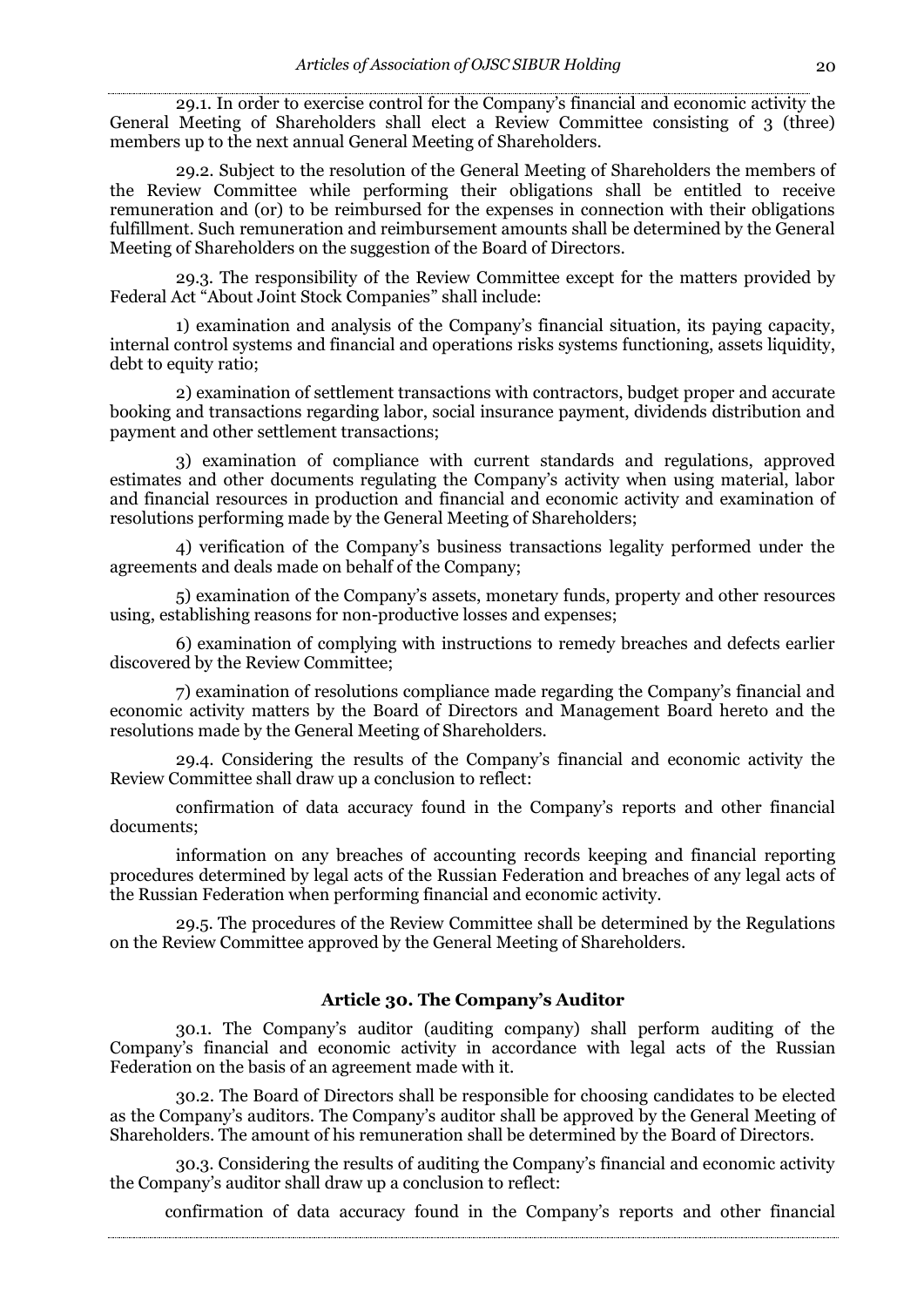29.1. In order to exercise control for the Company's financial and economic activity the General Meeting of Shareholders shall elect a Review Committee consisting of 3 (three) members up to the next annual General Meeting of Shareholders.

29.2. Subject to the resolution of the General Meeting of Shareholders the members of the Review Committee while performing their obligations shall be entitled to receive remuneration and (or) to be reimbursed for the expenses in connection with their obligations fulfillment. Such remuneration and reimbursement amounts shall be determined by the General Meeting of Shareholders on the suggestion of the Board of Directors.

29.3. The responsibility of the Review Committee except for the matters provided by Federal Act "About Joint Stock Companies" shall include:

1) examination and analysis of the Company's financial situation, its paying capacity, internal control systems and financial and operations risks systems functioning, assets liquidity, debt to equity ratio;

2) examination of settlement transactions with contractors, budget proper and accurate booking and transactions regarding labor, social insurance payment, dividends distribution and payment and other settlement transactions;

3) examination of compliance with current standards and regulations, approved estimates and other documents regulating the Company's activity when using material, labor and financial resources in production and financial and economic activity and examination of resolutions performing made by the General Meeting of Shareholders;

4) verification of the Company's business transactions legality performed under the agreements and deals made on behalf of the Company;

5) examination of the Company's assets, monetary funds, property and other resources using, establishing reasons for non-productive losses and expenses;

6) examination of complying with instructions to remedy breaches and defects earlier discovered by the Review Committee;

7) examination of resolutions compliance made regarding the Company's financial and economic activity matters by the Board of Directors and Management Board hereto and the resolutions made by the General Meeting of Shareholders.

29.4. Considering the results of the Company's financial and economic activity the Review Committee shall draw up a conclusion to reflect:

confirmation of data accuracy found in the Company's reports and other financial documents;

information on any breaches of accounting records keeping and financial reporting procedures determined by legal acts of the Russian Federation and breaches of any legal acts of the Russian Federation when performing financial and economic activity.

29.5. The procedures of the Review Committee shall be determined by the Regulations on the Review Committee approved by the General Meeting of Shareholders.

# **Article 30. The Company's Auditor**

30.1. The Company's auditor (auditing company) shall perform auditing of the Company's financial and economic activity in accordance with legal acts of the Russian Federation on the basis of an agreement made with it.

30.2. The Board of Directors shall be responsible for choosing candidates to be elected as the Company's auditors. The Company's auditor shall be approved by the General Meeting of Shareholders. The amount of his remuneration shall be determined by the Board of Directors.

30.3. Considering the results of auditing the Company's financial and economic activity the Company's auditor shall draw up a conclusion to reflect:

confirmation of data accuracy found in the Company's reports and other financial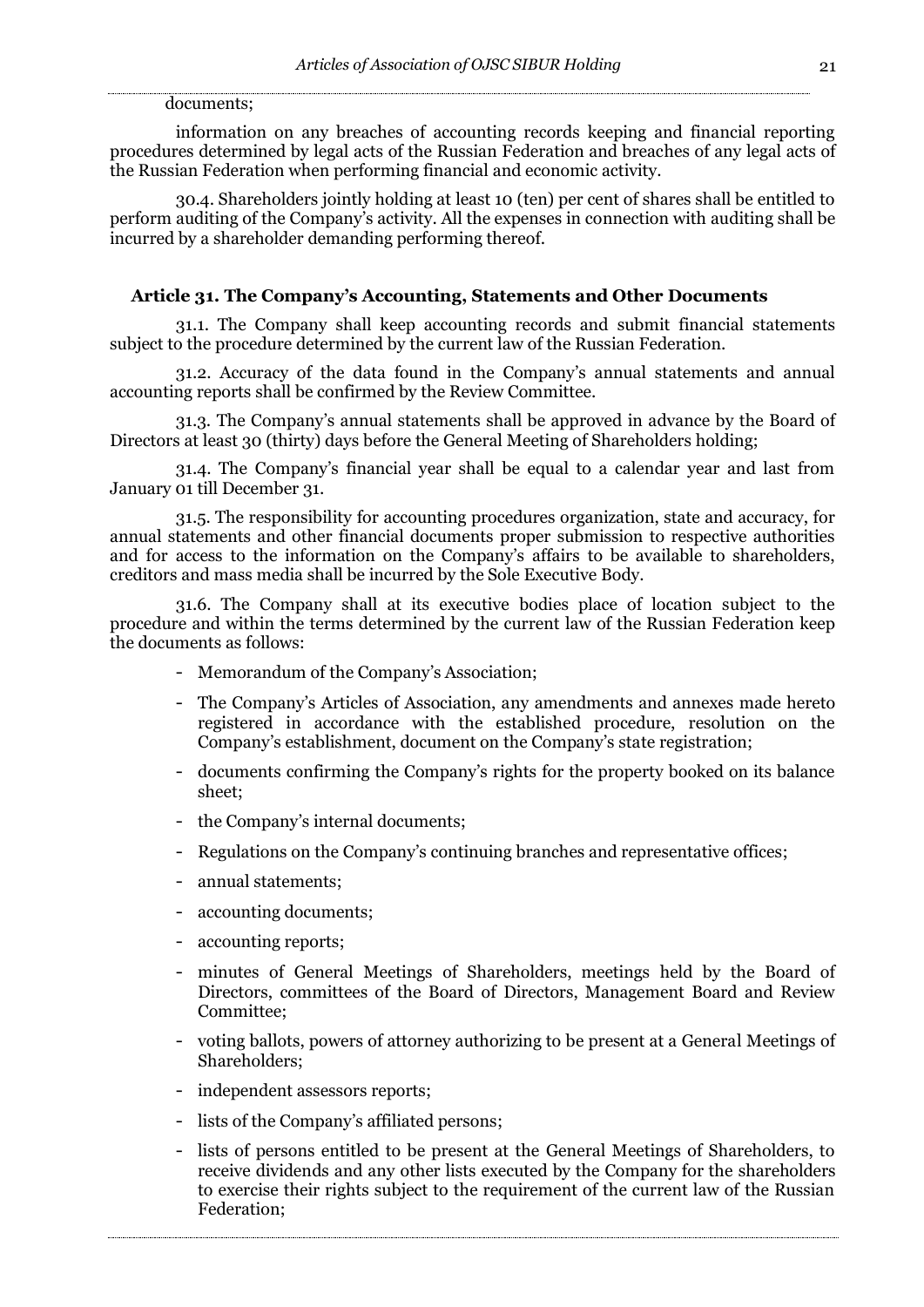#### documents;

information on any breaches of accounting records keeping and financial reporting procedures determined by legal acts of the Russian Federation and breaches of any legal acts of the Russian Federation when performing financial and economic activity.

30.4. Shareholders jointly holding at least 10 (ten) per cent of shares shall be entitled to perform auditing of the Company's activity. All the expenses in connection with auditing shall be incurred by a shareholder demanding performing thereof.

## **Article 31. The Company's Accounting, Statements and Other Documents**

31.1. The Company shall keep accounting records and submit financial statements subject to the procedure determined by the current law of the Russian Federation.

31.2. Accuracy of the data found in the Company's annual statements and annual accounting reports shall be confirmed by the Review Committee.

31.3. The Company's annual statements shall be approved in advance by the Board of Directors at least 30 (thirty) days before the General Meeting of Shareholders holding;

31.4. The Company's financial year shall be equal to a calendar year and last from January 01 till December 31.

31.5. The responsibility for accounting procedures organization, state and accuracy, for annual statements and other financial documents proper submission to respective authorities and for access to the information on the Company's affairs to be available to shareholders, creditors and mass media shall be incurred by the Sole Executive Body.

31.6. The Company shall at its executive bodies place of location subject to the procedure and within the terms determined by the current law of the Russian Federation keep the documents as follows:

- Memorandum of the Company's Association;
- The Company's Articles of Association, any amendments and annexes made hereto registered in accordance with the established procedure, resolution on the Company's establishment, document on the Company's state registration;
- documents confirming the Company's rights for the property booked on its balance sheet;
- the Company's internal documents;
- Regulations on the Company's continuing branches and representative offices;
- annual statements;
- accounting documents;
- accounting reports;
- minutes of General Meetings of Shareholders, meetings held by the Board of Directors, committees of the Board of Directors, Management Board and Review Committee;
- voting ballots, powers of attorney authorizing to be present at a General Meetings of Shareholders;
- independent assessors reports;
- lists of the Company's affiliated persons;
- lists of persons entitled to be present at the General Meetings of Shareholders, to receive dividends and any other lists executed by the Company for the shareholders to exercise their rights subject to the requirement of the current law of the Russian Federation;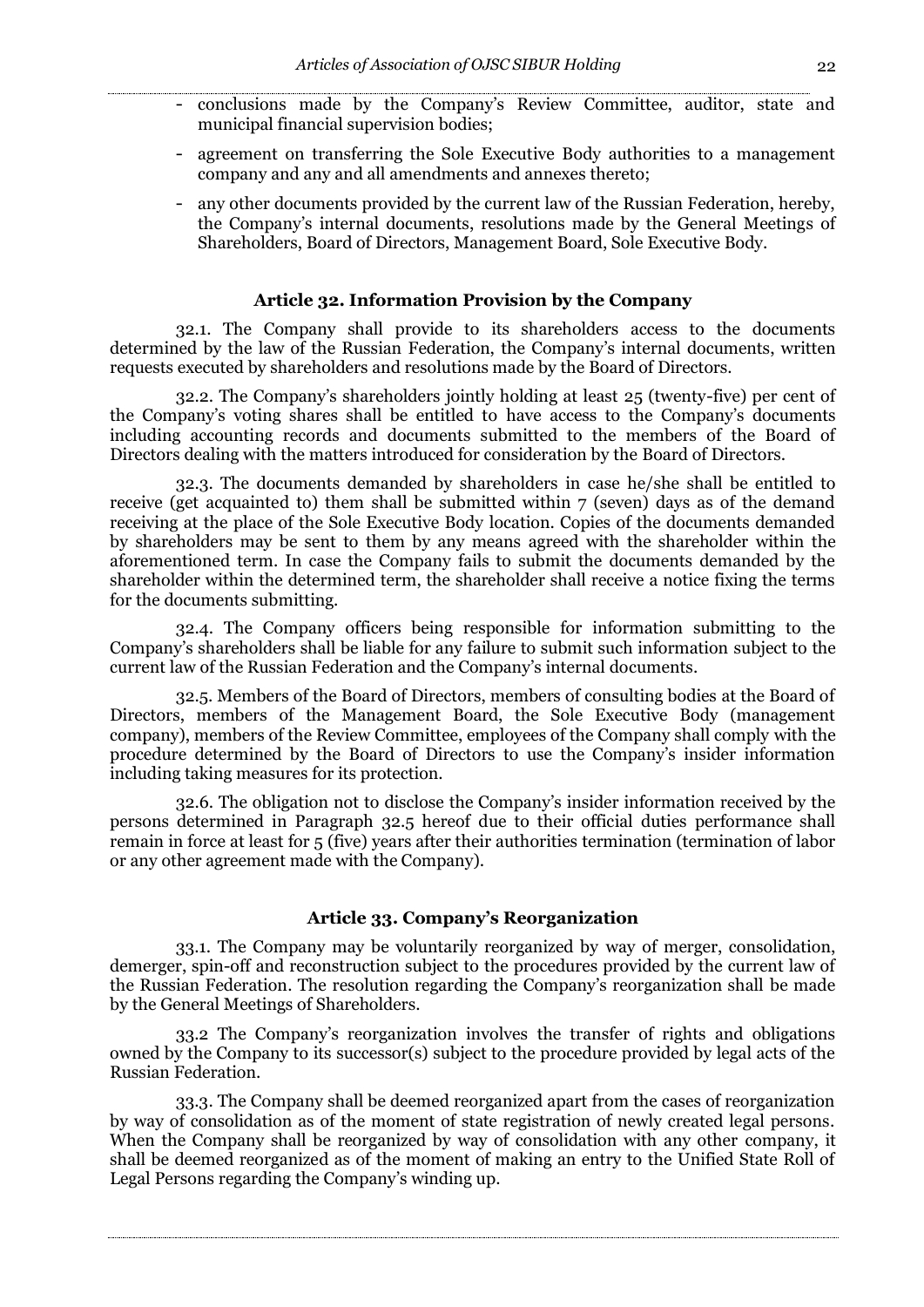- conclusions made by the Company's Review Committee, auditor, state and municipal financial supervision bodies;
- agreement on transferring the Sole Executive Body authorities to a management company and any and all amendments and annexes thereto;
- any other documents provided by the current law of the Russian Federation, hereby, the Company's internal documents, resolutions made by the General Meetings of Shareholders, Board of Directors, Management Board, Sole Executive Body.

#### **Article 32. Information Provision by the Company**

32.1. The Company shall provide to its shareholders access to the documents determined by the law of the Russian Federation, the Company's internal documents, written requests executed by shareholders and resolutions made by the Board of Directors.

32.2. The Company's shareholders jointly holding at least 25 (twenty-five) per cent of the Company's voting shares shall be entitled to have access to the Company's documents including accounting records and documents submitted to the members of the Board of Directors dealing with the matters introduced for consideration by the Board of Directors.

32.3. The documents demanded by shareholders in case he/she shall be entitled to receive (get acquainted to) them shall be submitted within 7 (seven) days as of the demand receiving at the place of the Sole Executive Body location. Copies of the documents demanded by shareholders may be sent to them by any means agreed with the shareholder within the aforementioned term. In case the Company fails to submit the documents demanded by the shareholder within the determined term, the shareholder shall receive a notice fixing the terms for the documents submitting.

32.4. The Company officers being responsible for information submitting to the Company's shareholders shall be liable for any failure to submit such information subject to the current law of the Russian Federation and the Company's internal documents.

32.5. Members of the Board of Directors, members of consulting bodies at the Board of Directors, members of the Management Board, the Sole Executive Body (management company), members of the Review Committee, employees of the Company shall comply with the procedure determined by the Board of Directors to use the Company's insider information including taking measures for its protection.

32.6. The obligation not to disclose the Company's insider information received by the persons determined in Paragraph 32.5 hereof due to their official duties performance shall remain in force at least for 5 (five) years after their authorities termination (termination of labor or any other agreement made with the Company).

#### **Article 33. Company's Reorganization**

33.1. The Company may be voluntarily reorganized by way of merger, consolidation, demerger, spin-off and reconstruction subject to the procedures provided by the current law of the Russian Federation. The resolution regarding the Company's reorganization shall be made by the General Meetings of Shareholders.

33.2 The Company's reorganization involves the transfer of rights and obligations owned by the Company to its successor(s) subject to the procedure provided by legal acts of the Russian Federation.

33.3. The Company shall be deemed reorganized apart from the cases of reorganization by way of consolidation as of the moment of state registration of newly created legal persons. When the Company shall be reorganized by way of consolidation with any other company, it shall be deemed reorganized as of the moment of making an entry to the Unified State Roll of Legal Persons regarding the Company's winding up.